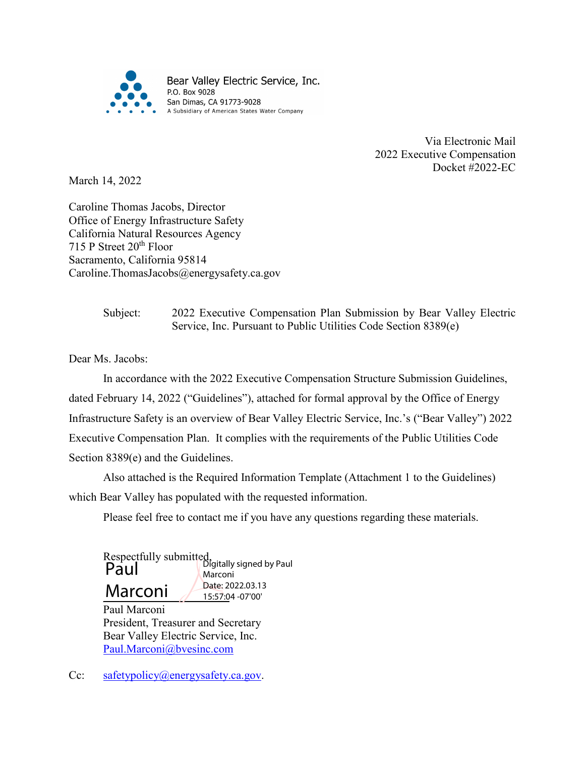

Via Electronic Mail 2022 Executive Compensation Docket #2022-EC

March 14, 2022

Caroline Thomas Jacobs, Director Office of Energy Infrastructure Safety California Natural Resources Agency 715 P Street 20<sup>th</sup> Floor Sacramento, California 95814 Caroline.ThomasJacobs@energysafety.ca.gov

> Subject: 2022 Executive Compensation Plan Submission by Bear Valley Electric Service, Inc. Pursuant to Public Utilities Code Section 8389(e)

Dear Ms. Jacobs:

In accordance with the 2022 Executive Compensation Structure Submission Guidelines, dated February 14, 2022 ("Guidelines"), attached for formal approval by the Office of Energy Infrastructure Safety is an overview of Bear Valley Electric Service, Inc.'s ("Bear Valley") 2022 Executive Compensation Plan. It complies with the requirements of the Public Utilities Code Section 8389(e) and the Guidelines.

Also attached is the Required Information Template (Attachment 1 to the Guidelines) which Bear Valley has populated with the requested information.

Please feel free to contact me if you have any questions regarding these materials.

Respectfully submitted, Marconi *Pate:* 2 **Paul** Bigitally signed by Paul Marconi Date: 2022.03.13 15:57:04 -07'00'

Paul Marconi President, Treasurer and Secretary Bear Valley Electric Service, Inc. [Paul.Marconi@bvesinc.com](mailto:Paul.Marconi@bvesinc.com)

Cc: [safetypolicy@energysafety.ca.gov.](mailto:safetypolicy@energysafety.ca.gov)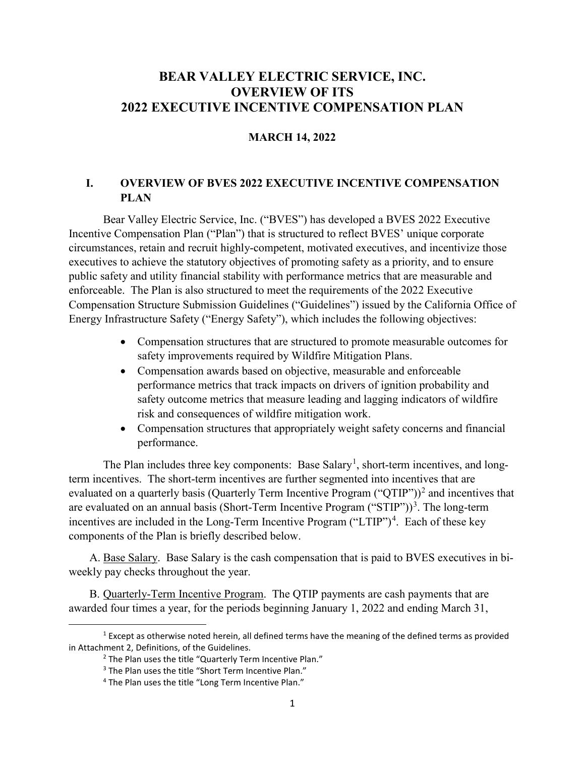#### **BEAR VALLEY ELECTRIC SERVICE, INC. OVERVIEW OF ITS 2022 EXECUTIVE INCENTIVE COMPENSATION PLAN**

#### **MARCH 14, 2022**

#### **I. OVERVIEW OF BVES 2022 EXECUTIVE INCENTIVE COMPENSATION PLAN**

Bear Valley Electric Service, Inc. ("BVES") has developed a BVES 2022 Executive Incentive Compensation Plan ("Plan") that is structured to reflect BVES' unique corporate circumstances, retain and recruit highly-competent, motivated executives, and incentivize those executives to achieve the statutory objectives of promoting safety as a priority, and to ensure public safety and utility financial stability with performance metrics that are measurable and enforceable. The Plan is also structured to meet the requirements of the 2022 Executive Compensation Structure Submission Guidelines ("Guidelines") issued by the California Office of Energy Infrastructure Safety ("Energy Safety"), which includes the following objectives:

- Compensation structures that are structured to promote measurable outcomes for safety improvements required by Wildfire Mitigation Plans.
- Compensation awards based on objective, measurable and enforceable performance metrics that track impacts on drivers of ignition probability and safety outcome metrics that measure leading and lagging indicators of wildfire risk and consequences of wildfire mitigation work.
- Compensation structures that appropriately weight safety concerns and financial performance.

The Plan includes three key components: Base Salary<sup>[1](#page-1-0)</sup>, short-term incentives, and longterm incentives. The short-term incentives are further segmented into incentives that are evaluated on a quarterly basis (Quarterly Term Incentive Program ("QTIP"))<sup>[2](#page-1-1)</sup> and incentives that are evaluated on an annual basis (Short-Term Incentive Program  $("STIP"))^3$  $("STIP"))^3$ . The long-term incentives are included in the Long-Term Incentive Program  $("LTIP")<sup>4</sup>$  $("LTIP")<sup>4</sup>$  $("LTIP")<sup>4</sup>$ . Each of these key components of the Plan is briefly described below.

A. Base Salary. Base Salary is the cash compensation that is paid to BVES executives in biweekly pay checks throughout the year.

B. Quarterly-Term Incentive Program. The QTIP payments are cash payments that are awarded four times a year, for the periods beginning January 1, 2022 and ending March 31,

<span id="page-1-3"></span><span id="page-1-2"></span><span id="page-1-1"></span><span id="page-1-0"></span> $1$  Except as otherwise noted herein, all defined terms have the meaning of the defined terms as provided in Attachment 2, Definitions, of the Guidelines.

<sup>&</sup>lt;sup>2</sup> The Plan uses the title "Quarterly Term Incentive Plan."

<sup>&</sup>lt;sup>3</sup> The Plan uses the title "Short Term Incentive Plan."

<sup>4</sup> The Plan uses the title "Long Term Incentive Plan."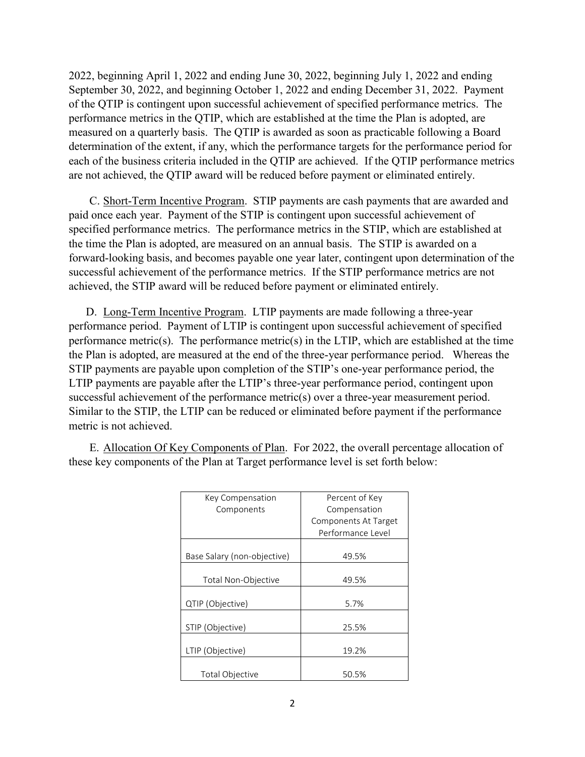2022, beginning April 1, 2022 and ending June 30, 2022, beginning July 1, 2022 and ending September 30, 2022, and beginning October 1, 2022 and ending December 31, 2022. Payment of the QTIP is contingent upon successful achievement of specified performance metrics. The performance metrics in the QTIP, which are established at the time the Plan is adopted, are measured on a quarterly basis. The QTIP is awarded as soon as practicable following a Board determination of the extent, if any, which the performance targets for the performance period for each of the business criteria included in the QTIP are achieved. If the QTIP performance metrics are not achieved, the QTIP award will be reduced before payment or eliminated entirely.

C. Short-Term Incentive Program. STIP payments are cash payments that are awarded and paid once each year. Payment of the STIP is contingent upon successful achievement of specified performance metrics. The performance metrics in the STIP, which are established at the time the Plan is adopted, are measured on an annual basis. The STIP is awarded on a forward-looking basis, and becomes payable one year later, contingent upon determination of the successful achievement of the performance metrics. If the STIP performance metrics are not achieved, the STIP award will be reduced before payment or eliminated entirely.

D. Long-Term Incentive Program. LTIP payments are made following a three-year performance period. Payment of LTIP is contingent upon successful achievement of specified performance metric(s). The performance metric(s) in the LTIP, which are established at the time the Plan is adopted, are measured at the end of the three-year performance period. Whereas the STIP payments are payable upon completion of the STIP's one-year performance period, the LTIP payments are payable after the LTIP's three-year performance period, contingent upon successful achievement of the performance metric(s) over a three-year measurement period. Similar to the STIP, the LTIP can be reduced or eliminated before payment if the performance metric is not achieved.

E. Allocation Of Key Components of Plan. For 2022, the overall percentage allocation of these key components of the Plan at Target performance level is set forth below:

| Key Compensation            | Percent of Key       |
|-----------------------------|----------------------|
| Components                  | Compensation         |
|                             | Components At Target |
|                             | Performance Level    |
|                             |                      |
| Base Salary (non-objective) | 49.5%                |
|                             |                      |
| Total Non-Objective         | 49.5%                |
|                             |                      |
| QTIP (Objective)            | 5.7%                 |
|                             |                      |
| STIP (Objective)            | 25.5%                |
|                             |                      |
| LTIP (Objective)            | 19.2%                |
|                             |                      |
| <b>Total Objective</b>      | 50.5%                |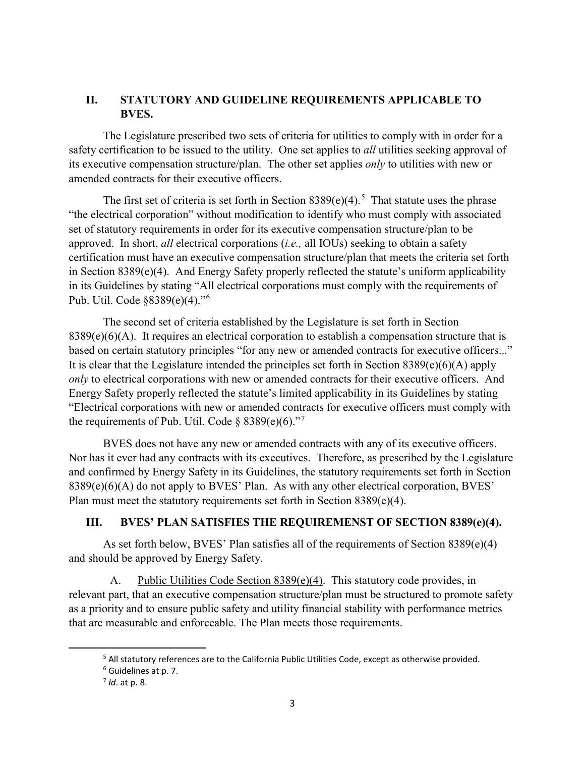#### **II. STATUTORY AND GUIDELINE REQUIREMENTS APPLICABLE TO BVES.**

The Legislature prescribed two sets of criteria for utilities to comply with in order for a safety certification to be issued to the utility. One set applies to *all* utilities seeking approval of its executive compensation structure/plan. The other set applies *only* to utilities with new or amended contracts for their executive officers.

The first set of criteria is set forth in Section  $8389(e)(4)$ .<sup>[5](#page-3-0)</sup> That statute uses the phrase "the electrical corporation" without modification to identify who must comply with associated set of statutory requirements in order for its executive compensation structure/plan to be approved. In short, *all* electrical corporations (*i.e.,* all IOUs) seeking to obtain a safety certification must have an executive compensation structure/plan that meets the criteria set forth in Section 8389(e)(4). And Energy Safety properly reflected the statute's uniform applicability in its Guidelines by stating "All electrical corporations must comply with the requirements of Pub. Util. Code §8389(e)(4)."[6](#page-3-1)

The second set of criteria established by the Legislature is set forth in Section  $8389(e)(6)(A)$ . It requires an electrical corporation to establish a compensation structure that is based on certain statutory principles "for any new or amended contracts for executive officers..." It is clear that the Legislature intended the principles set forth in Section  $8389(e)(6)(A)$  apply *only* to electrical corporations with new or amended contracts for their executive officers. And Energy Safety properly reflected the statute's limited applicability in its Guidelines by stating "Electrical corporations with new or amended contracts for executive officers must comply with the requirements of Pub. Util. Code §  $8389(e)(6)$ ."<sup>[7](#page-3-2)</sup>

BVES does not have any new or amended contracts with any of its executive officers. Nor has it ever had any contracts with its executives. Therefore, as prescribed by the Legislature and confirmed by Energy Safety in its Guidelines, the statutory requirements set forth in Section 8389(e)(6)(A) do not apply to BVES' Plan. As with any other electrical corporation, BVES' Plan must meet the statutory requirements set forth in Section 8389(e)(4).

#### **III. BVES' PLAN SATISFIES THE REQUIREMENST OF SECTION 8389(e)(4).**

As set forth below, BVES' Plan satisfies all of the requirements of Section 8389(e)(4) and should be approved by Energy Safety.

A. Public Utilities Code Section 8389(e)(4). This statutory code provides, in relevant part, that an executive compensation structure/plan must be structured to promote safety as a priority and to ensure public safety and utility financial stability with performance metrics that are measurable and enforceable. The Plan meets those requirements.

<span id="page-3-0"></span> $^5$  All statutory references are to the California Public Utilities Code, except as otherwise provided.<br> $^6$  Guidelines at p. 7.

<span id="page-3-2"></span><span id="page-3-1"></span>

<sup>7</sup> *Id*. at p. 8.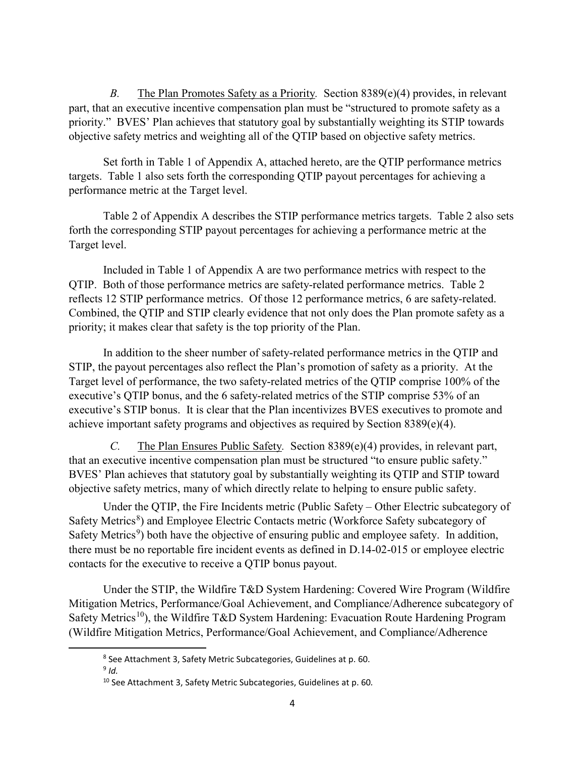*B.* The Plan Promotes Safety as a Priority*.* Section 8389(e)(4) provides, in relevant part, that an executive incentive compensation plan must be "structured to promote safety as a priority." BVES' Plan achieves that statutory goal by substantially weighting its STIP towards objective safety metrics and weighting all of the QTIP based on objective safety metrics.

Set forth in Table 1 of Appendix A, attached hereto, are the QTIP performance metrics targets. Table 1 also sets forth the corresponding QTIP payout percentages for achieving a performance metric at the Target level.

Table 2 of Appendix A describes the STIP performance metrics targets. Table 2 also sets forth the corresponding STIP payout percentages for achieving a performance metric at the Target level.

Included in Table 1 of Appendix A are two performance metrics with respect to the QTIP. Both of those performance metrics are safety-related performance metrics. Table 2 reflects 12 STIP performance metrics. Of those 12 performance metrics, 6 are safety-related. Combined, the QTIP and STIP clearly evidence that not only does the Plan promote safety as a priority; it makes clear that safety is the top priority of the Plan.

In addition to the sheer number of safety-related performance metrics in the QTIP and STIP, the payout percentages also reflect the Plan's promotion of safety as a priority. At the Target level of performance, the two safety-related metrics of the QTIP comprise 100% of the executive's QTIP bonus, and the 6 safety-related metrics of the STIP comprise 53% of an executive's STIP bonus. It is clear that the Plan incentivizes BVES executives to promote and achieve important safety programs and objectives as required by Section 8389(e)(4).

*C.* The Plan Ensures Public Safety*.* Section 8389(e)(4) provides, in relevant part, that an executive incentive compensation plan must be structured "to ensure public safety." BVES' Plan achieves that statutory goal by substantially weighting its QTIP and STIP toward objective safety metrics, many of which directly relate to helping to ensure public safety.

Under the QTIP, the Fire Incidents metric (Public Safety – Other Electric subcategory of Safety Metrics<sup>[8](#page-4-0)</sup>) and Employee Electric Contacts metric (Workforce Safety subcategory of Safety Metrics<sup>[9](#page-4-1)</sup>) both have the objective of ensuring public and employee safety. In addition, there must be no reportable fire incident events as defined in D.14-02-015 or employee electric contacts for the executive to receive a QTIP bonus payout.

<span id="page-4-0"></span>Under the STIP, the Wildfire T&D System Hardening: Covered Wire Program (Wildfire Mitigation Metrics, Performance/Goal Achievement, and Compliance/Adherence subcategory of Safety Metrics<sup>10</sup>), the Wildfire T&D System Hardening: Evacuation Route Hardening Program (Wildfire Mitigation Metrics, Performance/Goal Achievement, and Compliance/Adherence

<span id="page-4-1"></span> <sup>8</sup> See Attachment 3, Safety Metric Subcategories, Guidelines at p. 60.

<span id="page-4-2"></span><sup>9</sup> *Id.*

<sup>10</sup> See Attachment 3, Safety Metric Subcategories, Guidelines at p. 60*.*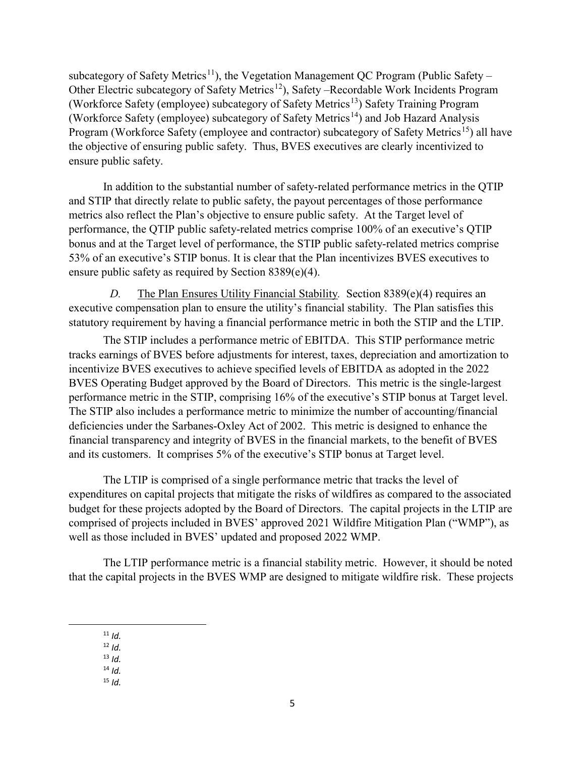subcategory of Safety Metrics<sup>[11](#page-5-0)</sup>), the Vegetation Management QC Program (Public Safety – Other Electric subcategory of Safety Metrics<sup>12</sup>), Safety –Recordable Work Incidents Program (Workforce Safety (employee) subcategory of Safety Metrics<sup>[13](#page-5-2)</sup>) Safety Training Program (Workforce Safety (employee) subcategory of Safety Metrics<sup>[14](#page-5-3)</sup>) and Job Hazard Analysis Program (Workforce Safety (employee and contractor) subcategory of Safety Metrics<sup>15</sup>) all have the objective of ensuring public safety. Thus, BVES executives are clearly incentivized to ensure public safety.

In addition to the substantial number of safety-related performance metrics in the QTIP and STIP that directly relate to public safety, the payout percentages of those performance metrics also reflect the Plan's objective to ensure public safety. At the Target level of performance, the QTIP public safety-related metrics comprise 100% of an executive's QTIP bonus and at the Target level of performance, the STIP public safety-related metrics comprise 53% of an executive's STIP bonus. It is clear that the Plan incentivizes BVES executives to ensure public safety as required by Section 8389(e)(4).

*D.* The Plan Ensures Utility Financial Stability*.* Section 8389(e)(4) requires an executive compensation plan to ensure the utility's financial stability. The Plan satisfies this statutory requirement by having a financial performance metric in both the STIP and the LTIP.

The STIP includes a performance metric of EBITDA. This STIP performance metric tracks earnings of BVES before adjustments for interest, taxes, depreciation and amortization to incentivize BVES executives to achieve specified levels of EBITDA as adopted in the 2022 BVES Operating Budget approved by the Board of Directors. This metric is the single-largest performance metric in the STIP, comprising 16% of the executive's STIP bonus at Target level. The STIP also includes a performance metric to minimize the number of accounting/financial deficiencies under the Sarbanes-Oxley Act of 2002. This metric is designed to enhance the financial transparency and integrity of BVES in the financial markets, to the benefit of BVES and its customers. It comprises 5% of the executive's STIP bonus at Target level.

The LTIP is comprised of a single performance metric that tracks the level of expenditures on capital projects that mitigate the risks of wildfires as compared to the associated budget for these projects adopted by the Board of Directors. The capital projects in the LTIP are comprised of projects included in BVES' approved 2021 Wildfire Mitigation Plan ("WMP"), as well as those included in BVES' updated and proposed 2022 WMP.

<span id="page-5-0"></span>The LTIP performance metric is a financial stability metric. However, it should be noted that the capital projects in the BVES WMP are designed to mitigate wildfire risk. These projects

11 *Id.*

- <span id="page-5-2"></span><span id="page-5-1"></span><sup>12</sup> *Id.*
- <sup>13</sup> *Id.*
- <span id="page-5-4"></span><span id="page-5-3"></span><sup>14</sup> *Id.*
- $15$  *Id.*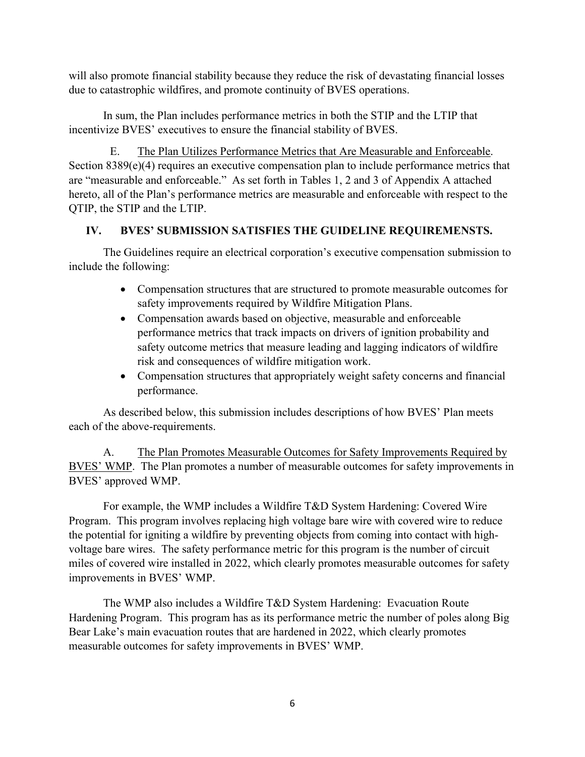will also promote financial stability because they reduce the risk of devastating financial losses due to catastrophic wildfires, and promote continuity of BVES operations.

In sum, the Plan includes performance metrics in both the STIP and the LTIP that incentivize BVES' executives to ensure the financial stability of BVES.

E. The Plan Utilizes Performance Metrics that Are Measurable and Enforceable. Section 8389(e)(4) requires an executive compensation plan to include performance metrics that are "measurable and enforceable." As set forth in Tables 1, 2 and 3 of Appendix A attached hereto, all of the Plan's performance metrics are measurable and enforceable with respect to the QTIP, the STIP and the LTIP.

#### **IV. BVES' SUBMISSION SATISFIES THE GUIDELINE REQUIREMENSTS.**

The Guidelines require an electrical corporation's executive compensation submission to include the following:

- Compensation structures that are structured to promote measurable outcomes for safety improvements required by Wildfire Mitigation Plans.
- Compensation awards based on objective, measurable and enforceable performance metrics that track impacts on drivers of ignition probability and safety outcome metrics that measure leading and lagging indicators of wildfire risk and consequences of wildfire mitigation work.
- Compensation structures that appropriately weight safety concerns and financial performance.

As described below, this submission includes descriptions of how BVES' Plan meets each of the above-requirements.

A. The Plan Promotes Measurable Outcomes for Safety Improvements Required by BVES' WMP. The Plan promotes a number of measurable outcomes for safety improvements in BVES' approved WMP.

For example, the WMP includes a Wildfire T&D System Hardening: Covered Wire Program. This program involves replacing high voltage bare wire with covered wire to reduce the potential for igniting a wildfire by preventing objects from coming into contact with highvoltage bare wires. The safety performance metric for this program is the number of circuit miles of covered wire installed in 2022, which clearly promotes measurable outcomes for safety improvements in BVES' WMP.

The WMP also includes a Wildfire T&D System Hardening: Evacuation Route Hardening Program. This program has as its performance metric the number of poles along Big Bear Lake's main evacuation routes that are hardened in 2022, which clearly promotes measurable outcomes for safety improvements in BVES' WMP.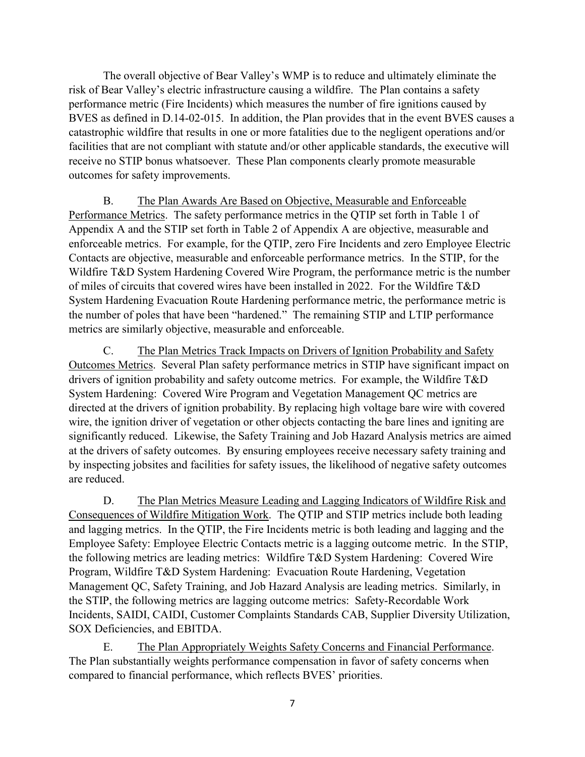The overall objective of Bear Valley's WMP is to reduce and ultimately eliminate the risk of Bear Valley's electric infrastructure causing a wildfire. The Plan contains a safety performance metric (Fire Incidents) which measures the number of fire ignitions caused by BVES as defined in D.14-02-015. In addition, the Plan provides that in the event BVES causes a catastrophic wildfire that results in one or more fatalities due to the negligent operations and/or facilities that are not compliant with statute and/or other applicable standards, the executive will receive no STIP bonus whatsoever. These Plan components clearly promote measurable outcomes for safety improvements.

B. The Plan Awards Are Based on Objective, Measurable and Enforceable Performance Metrics. The safety performance metrics in the QTIP set forth in Table 1 of Appendix A and the STIP set forth in Table 2 of Appendix A are objective, measurable and enforceable metrics. For example, for the QTIP, zero Fire Incidents and zero Employee Electric Contacts are objective, measurable and enforceable performance metrics. In the STIP, for the Wildfire T&D System Hardening Covered Wire Program, the performance metric is the number of miles of circuits that covered wires have been installed in 2022. For the Wildfire T&D System Hardening Evacuation Route Hardening performance metric, the performance metric is the number of poles that have been "hardened." The remaining STIP and LTIP performance metrics are similarly objective, measurable and enforceable.

C. The Plan Metrics Track Impacts on Drivers of Ignition Probability and Safety Outcomes Metrics. Several Plan safety performance metrics in STIP have significant impact on drivers of ignition probability and safety outcome metrics. For example, the Wildfire T&D System Hardening: Covered Wire Program and Vegetation Management QC metrics are directed at the drivers of ignition probability. By replacing high voltage bare wire with covered wire, the ignition driver of vegetation or other objects contacting the bare lines and igniting are significantly reduced. Likewise, the Safety Training and Job Hazard Analysis metrics are aimed at the drivers of safety outcomes. By ensuring employees receive necessary safety training and by inspecting jobsites and facilities for safety issues, the likelihood of negative safety outcomes are reduced.

D. The Plan Metrics Measure Leading and Lagging Indicators of Wildfire Risk and Consequences of Wildfire Mitigation Work. The QTIP and STIP metrics include both leading and lagging metrics. In the QTIP, the Fire Incidents metric is both leading and lagging and the Employee Safety: Employee Electric Contacts metric is a lagging outcome metric. In the STIP, the following metrics are leading metrics: Wildfire T&D System Hardening: Covered Wire Program, Wildfire T&D System Hardening: Evacuation Route Hardening, Vegetation Management QC, Safety Training, and Job Hazard Analysis are leading metrics. Similarly, in the STIP, the following metrics are lagging outcome metrics: Safety-Recordable Work Incidents, SAIDI, CAIDI, Customer Complaints Standards CAB, Supplier Diversity Utilization, SOX Deficiencies, and EBITDA.

E. The Plan Appropriately Weights Safety Concerns and Financial Performance. The Plan substantially weights performance compensation in favor of safety concerns when compared to financial performance, which reflects BVES' priorities.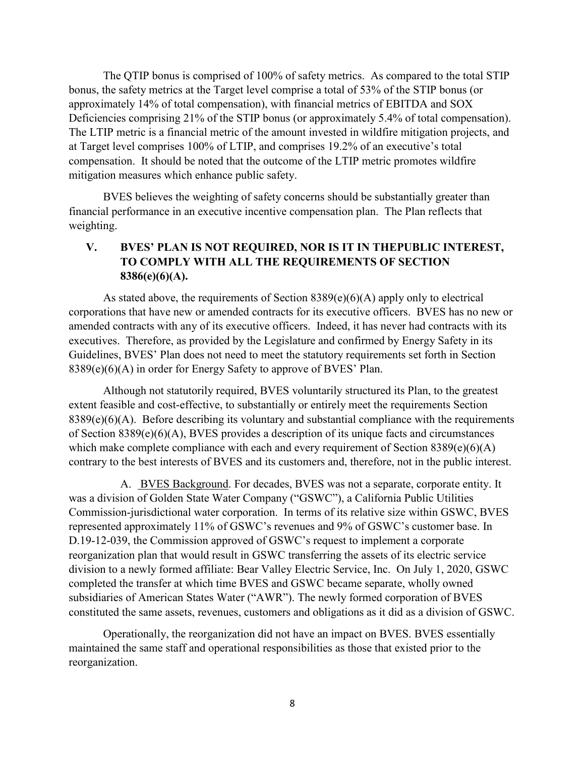The QTIP bonus is comprised of 100% of safety metrics. As compared to the total STIP bonus, the safety metrics at the Target level comprise a total of 53% of the STIP bonus (or approximately 14% of total compensation), with financial metrics of EBITDA and SOX Deficiencies comprising 21% of the STIP bonus (or approximately 5.4% of total compensation). The LTIP metric is a financial metric of the amount invested in wildfire mitigation projects, and at Target level comprises 100% of LTIP, and comprises 19.2% of an executive's total compensation. It should be noted that the outcome of the LTIP metric promotes wildfire mitigation measures which enhance public safety.

BVES believes the weighting of safety concerns should be substantially greater than financial performance in an executive incentive compensation plan. The Plan reflects that weighting.

#### **V. BVES' PLAN IS NOT REQUIRED, NOR IS IT IN THEPUBLIC INTEREST, TO COMPLY WITH ALL THE REQUIREMENTS OF SECTION 8386(e)(6)(A).**

As stated above, the requirements of Section 8389(e)(6)(A) apply only to electrical corporations that have new or amended contracts for its executive officers. BVES has no new or amended contracts with any of its executive officers. Indeed, it has never had contracts with its executives. Therefore, as provided by the Legislature and confirmed by Energy Safety in its Guidelines, BVES' Plan does not need to meet the statutory requirements set forth in Section 8389(e)(6)(A) in order for Energy Safety to approve of BVES' Plan.

Although not statutorily required, BVES voluntarily structured its Plan, to the greatest extent feasible and cost-effective, to substantially or entirely meet the requirements Section  $8389(e)(6)(A)$ . Before describing its voluntary and substantial compliance with the requirements of Section 8389(e)(6)(A), BVES provides a description of its unique facts and circumstances which make complete compliance with each and every requirement of Section  $8389(e)(6)(A)$ contrary to the best interests of BVES and its customers and, therefore, not in the public interest.

A. BVES Background. For decades, BVES was not a separate, corporate entity. It was a division of Golden State Water Company ("GSWC"), a California Public Utilities Commission-jurisdictional water corporation. In terms of its relative size within GSWC, BVES represented approximately 11% of GSWC's revenues and 9% of GSWC's customer base. In D.19-12-039, the Commission approved of GSWC's request to implement a corporate reorganization plan that would result in GSWC transferring the assets of its electric service division to a newly formed affiliate: Bear Valley Electric Service, Inc. On July 1, 2020, GSWC completed the transfer at which time BVES and GSWC became separate, wholly owned subsidiaries of American States Water ("AWR"). The newly formed corporation of BVES constituted the same assets, revenues, customers and obligations as it did as a division of GSWC.

Operationally, the reorganization did not have an impact on BVES. BVES essentially maintained the same staff and operational responsibilities as those that existed prior to the reorganization.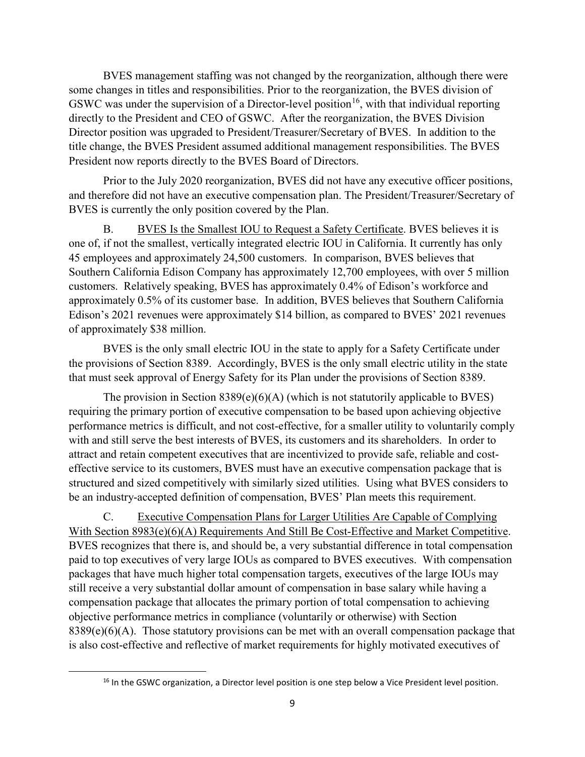BVES management staffing was not changed by the reorganization, although there were some changes in titles and responsibilities. Prior to the reorganization, the BVES division of GSWC was under the supervision of a Director-level position<sup>16</sup>, with that individual reporting directly to the President and CEO of GSWC. After the reorganization, the BVES Division Director position was upgraded to President/Treasurer/Secretary of BVES. In addition to the title change, the BVES President assumed additional management responsibilities. The BVES President now reports directly to the BVES Board of Directors.

Prior to the July 2020 reorganization, BVES did not have any executive officer positions, and therefore did not have an executive compensation plan. The President/Treasurer/Secretary of BVES is currently the only position covered by the Plan.

B. BVES Is the Smallest IOU to Request a Safety Certificate. BVES believes it is one of, if not the smallest, vertically integrated electric IOU in California. It currently has only 45 employees and approximately 24,500 customers. In comparison, BVES believes that Southern California Edison Company has approximately 12,700 employees, with over 5 million customers. Relatively speaking, BVES has approximately 0.4% of Edison's workforce and approximately 0.5% of its customer base. In addition, BVES believes that Southern California Edison's 2021 revenues were approximately \$14 billion, as compared to BVES' 2021 revenues of approximately \$38 million.

BVES is the only small electric IOU in the state to apply for a Safety Certificate under the provisions of Section 8389. Accordingly, BVES is the only small electric utility in the state that must seek approval of Energy Safety for its Plan under the provisions of Section 8389.

The provision in Section  $8389(e)(6)(A)$  (which is not statutorily applicable to BVES) requiring the primary portion of executive compensation to be based upon achieving objective performance metrics is difficult, and not cost-effective, for a smaller utility to voluntarily comply with and still serve the best interests of BVES, its customers and its shareholders. In order to attract and retain competent executives that are incentivized to provide safe, reliable and costeffective service to its customers, BVES must have an executive compensation package that is structured and sized competitively with similarly sized utilities. Using what BVES considers to be an industry-accepted definition of compensation, BVES' Plan meets this requirement.

C. Executive Compensation Plans for Larger Utilities Are Capable of Complying With Section 8983(e)(6)(A) Requirements And Still Be Cost-Effective and Market Competitive. BVES recognizes that there is, and should be, a very substantial difference in total compensation paid to top executives of very large IOUs as compared to BVES executives. With compensation packages that have much higher total compensation targets, executives of the large IOUs may still receive a very substantial dollar amount of compensation in base salary while having a compensation package that allocates the primary portion of total compensation to achieving objective performance metrics in compliance (voluntarily or otherwise) with Section  $8389(e)(6)(A)$ . Those statutory provisions can be met with an overall compensation package that is also cost-effective and reflective of market requirements for highly motivated executives of

<span id="page-9-0"></span><sup>&</sup>lt;sup>16</sup> In the GSWC organization, a Director level position is one step below a Vice President level position.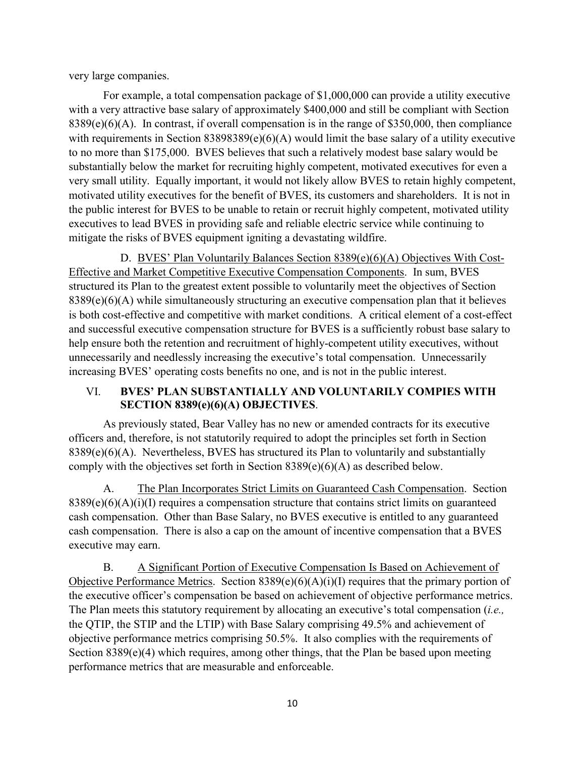very large companies.

For example, a total compensation package of \$1,000,000 can provide a utility executive with a very attractive base salary of approximately \$400,000 and still be compliant with Section 8389(e)(6)(A). In contrast, if overall compensation is in the range of \$350,000, then compliance with requirements in Section 83898389(e)(6)(A) would limit the base salary of a utility executive to no more than \$175,000. BVES believes that such a relatively modest base salary would be substantially below the market for recruiting highly competent, motivated executives for even a very small utility. Equally important, it would not likely allow BVES to retain highly competent, motivated utility executives for the benefit of BVES, its customers and shareholders. It is not in the public interest for BVES to be unable to retain or recruit highly competent, motivated utility executives to lead BVES in providing safe and reliable electric service while continuing to mitigate the risks of BVES equipment igniting a devastating wildfire.

D. BVES' Plan Voluntarily Balances Section 8389(e)(6)(A) Objectives With Cost-Effective and Market Competitive Executive Compensation Components. In sum, BVES structured its Plan to the greatest extent possible to voluntarily meet the objectives of Section 8389(e)(6)(A) while simultaneously structuring an executive compensation plan that it believes is both cost-effective and competitive with market conditions. A critical element of a cost-effect and successful executive compensation structure for BVES is a sufficiently robust base salary to help ensure both the retention and recruitment of highly-competent utility executives, without unnecessarily and needlessly increasing the executive's total compensation. Unnecessarily increasing BVES' operating costs benefits no one, and is not in the public interest.

#### VI. **BVES' PLAN SUBSTANTIALLY AND VOLUNTARILY COMPIES WITH SECTION 8389(e)(6)(A) OBJECTIVES**.

As previously stated, Bear Valley has no new or amended contracts for its executive officers and, therefore, is not statutorily required to adopt the principles set forth in Section 8389(e)(6)(A). Nevertheless, BVES has structured its Plan to voluntarily and substantially comply with the objectives set forth in Section 8389(e)(6)(A) as described below.

A. The Plan Incorporates Strict Limits on Guaranteed Cash Compensation. Section  $8389(e)(6)(A)(i)(I)$  requires a compensation structure that contains strict limits on guaranteed cash compensation. Other than Base Salary, no BVES executive is entitled to any guaranteed cash compensation. There is also a cap on the amount of incentive compensation that a BVES executive may earn.

B. A Significant Portion of Executive Compensation Is Based on Achievement of Objective Performance Metrics. Section 8389(e)(6)(A)(i)(I) requires that the primary portion of the executive officer's compensation be based on achievement of objective performance metrics. The Plan meets this statutory requirement by allocating an executive's total compensation (*i.e.,* the QTIP, the STIP and the LTIP) with Base Salary comprising 49.5% and achievement of objective performance metrics comprising 50.5%. It also complies with the requirements of Section 8389(e)(4) which requires, among other things, that the Plan be based upon meeting performance metrics that are measurable and enforceable.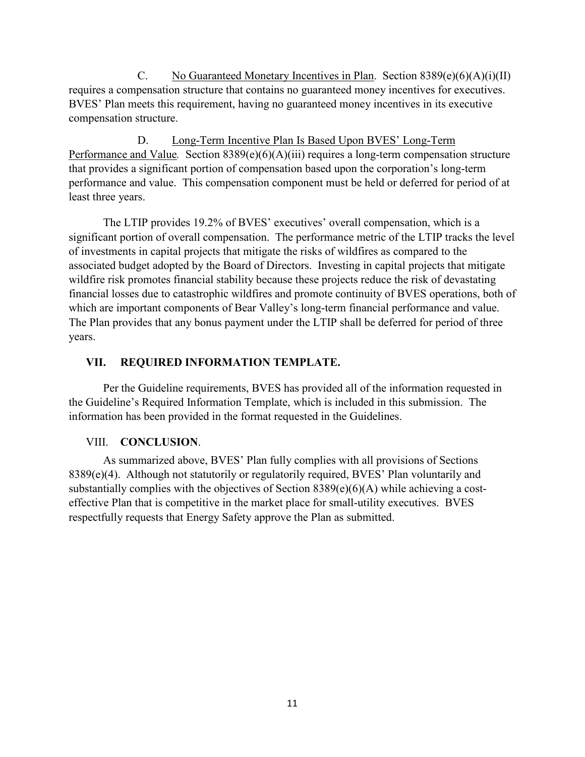C. No Guaranteed Monetary Incentives in Plan. Section  $8389(e)(6)(A)(i)(II)$ requires a compensation structure that contains no guaranteed money incentives for executives. BVES' Plan meets this requirement, having no guaranteed money incentives in its executive compensation structure.

D. Long-Term Incentive Plan Is Based Upon BVES' Long-Term Performance and Value. Section 8389(e)(6)(A)(iii) requires a long-term compensation structure that provides a significant portion of compensation based upon the corporation's long-term performance and value. This compensation component must be held or deferred for period of at least three years.

The LTIP provides 19.2% of BVES' executives' overall compensation, which is a significant portion of overall compensation. The performance metric of the LTIP tracks the level of investments in capital projects that mitigate the risks of wildfires as compared to the associated budget adopted by the Board of Directors. Investing in capital projects that mitigate wildfire risk promotes financial stability because these projects reduce the risk of devastating financial losses due to catastrophic wildfires and promote continuity of BVES operations, both of which are important components of Bear Valley's long-term financial performance and value. The Plan provides that any bonus payment under the LTIP shall be deferred for period of three years.

#### **VII. REQUIRED INFORMATION TEMPLATE.**

Per the Guideline requirements, BVES has provided all of the information requested in the Guideline's Required Information Template, which is included in this submission. The information has been provided in the format requested in the Guidelines.

#### VIII. **CONCLUSION**.

As summarized above, BVES' Plan fully complies with all provisions of Sections 8389(e)(4). Although not statutorily or regulatorily required, BVES' Plan voluntarily and substantially complies with the objectives of Section 8389(e)(6)(A) while achieving a costeffective Plan that is competitive in the market place for small-utility executives. BVES respectfully requests that Energy Safety approve the Plan as submitted.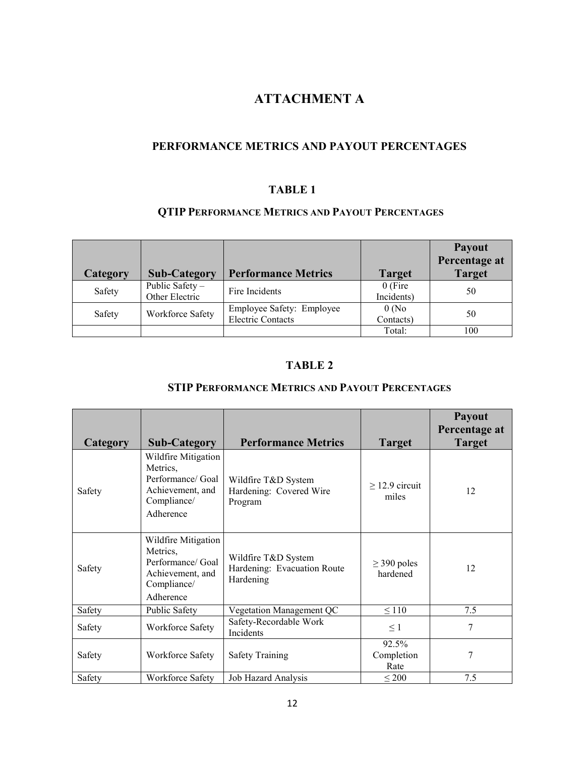### **ATTACHMENT A**

#### **PERFORMANCE METRICS AND PAYOUT PERCENTAGES**

#### **TABLE 1**

#### **QTIP PERFORMANCE METRICS AND PAYOUT PERCENTAGES**

|          |                                   |                                                       |                         | <b>Payout</b><br>Percentage at |
|----------|-----------------------------------|-------------------------------------------------------|-------------------------|--------------------------------|
| Category | <b>Sub-Category</b>               | <b>Performance Metrics</b>                            | <b>Target</b>           | <b>Target</b>                  |
| Safety   | Public Safety -<br>Other Electric | Fire Incidents                                        | $0$ (Fire<br>Incidents) | 50                             |
| Safety   | Workforce Safety                  | Employee Safety: Employee<br><b>Electric Contacts</b> | 0(No)<br>Contacts)      | 50                             |
|          |                                   |                                                       | Total:                  | 100                            |

#### **TABLE 2**

#### **STIP PERFORMANCE METRICS AND PAYOUT PERCENTAGES**

| Category | <b>Sub-Category</b>                                                                                  | <b>Performance Metrics</b>                                      | <b>Target</b>                | <b>Payout</b><br>Percentage at<br><b>Target</b> |
|----------|------------------------------------------------------------------------------------------------------|-----------------------------------------------------------------|------------------------------|-------------------------------------------------|
| Safety   | Wildfire Mitigation<br>Metrics,<br>Performance/ Goal<br>Achievement, and<br>Compliance/<br>Adherence | Wildfire T&D System<br>Hardening: Covered Wire<br>Program       | $\geq$ 12.9 circuit<br>miles | 12                                              |
| Safety   | Wildfire Mitigation<br>Metrics,<br>Performance/ Goal<br>Achievement, and<br>Compliance/<br>Adherence | Wildfire T&D System<br>Hardening: Evacuation Route<br>Hardening | $\geq$ 390 poles<br>hardened | 12                                              |
| Safety   | Public Safety                                                                                        | Vegetation Management QC                                        | $\leq 110$                   | 7.5                                             |
| Safety   | Workforce Safety                                                                                     | Safety-Recordable Work<br>Incidents                             | $\leq$ 1                     | 7                                               |
| Safety   | Workforce Safety                                                                                     | <b>Safety Training</b>                                          | 92.5%<br>Completion<br>Rate  | 7                                               |
| Safety   | Workforce Safety                                                                                     | Job Hazard Analysis                                             | $\leq 200$                   | 7.5                                             |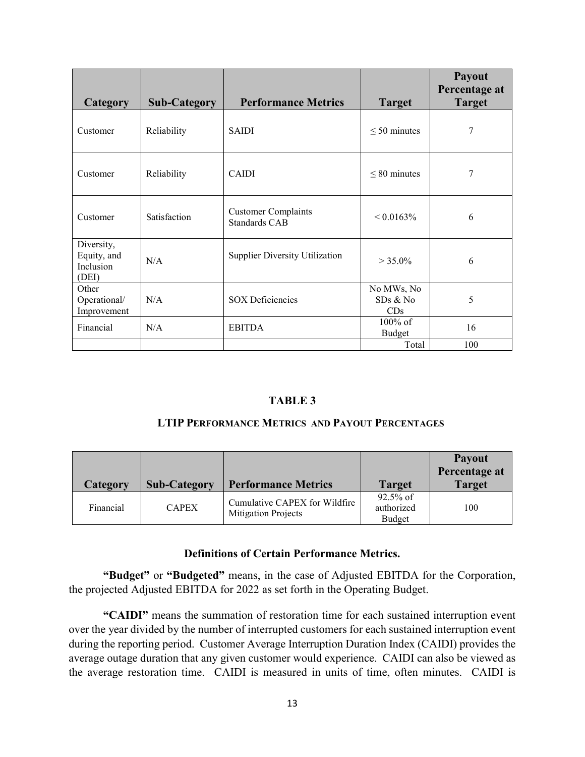|                                                 |                     |                                                    |                               | Payout<br>Percentage at |
|-------------------------------------------------|---------------------|----------------------------------------------------|-------------------------------|-------------------------|
| Category                                        | <b>Sub-Category</b> | <b>Performance Metrics</b>                         | <b>Target</b>                 | <b>Target</b>           |
| Customer                                        | Reliability         | <b>SAIDI</b>                                       | $\leq 50$ minutes             | 7                       |
| Customer                                        | Reliability         | <b>CAIDI</b>                                       | $\leq 80$ minutes             | 7                       |
| Customer                                        | Satisfaction        | <b>Customer Complaints</b><br><b>Standards CAB</b> | $< 0.0163\%$                  | 6                       |
| Diversity,<br>Equity, and<br>Inclusion<br>(DEI) | N/A                 | <b>Supplier Diversity Utilization</b>              | $> 35.0\%$                    | 6                       |
| Other<br>Operational/<br>Improvement            | N/A                 | <b>SOX Deficiencies</b>                            | No MWs, No<br>SDs & No<br>CDs | 5                       |
| Financial                                       | N/A                 | <b>EBITDA</b>                                      | $100\%$ of<br><b>Budget</b>   | 16                      |
|                                                 |                     |                                                    | Total                         | 100                     |

#### **TABLE 3**

#### **LTIP PERFORMANCE METRICS AND PAYOUT PERCENTAGES**

|           |                     |                                                             |                                     | <b>Payout</b><br>Percentage at |
|-----------|---------------------|-------------------------------------------------------------|-------------------------------------|--------------------------------|
| Category  | <b>Sub-Category</b> | <b>Performance Metrics</b>                                  | <b>Target</b>                       | <b>Target</b>                  |
| Financial | <b>CAPEX</b>        | Cumulative CAPEX for Wildfire<br><b>Mitigation Projects</b> | $92.5\%$ of<br>authorized<br>Budget | 100                            |

#### **Definitions of Certain Performance Metrics.**

**"Budget"** or **"Budgeted"** means, in the case of Adjusted EBITDA for the Corporation, the projected Adjusted EBITDA for 2022 as set forth in the Operating Budget.

**"CAIDI"** means the summation of restoration time for each sustained interruption event over the year divided by the number of interrupted customers for each sustained interruption event during the reporting period. Customer Average Interruption Duration Index (CAIDI) provides the average outage duration that any given customer would experience. CAIDI can also be viewed as the average restoration time. CAIDI is measured in units of time, often minutes. CAIDI is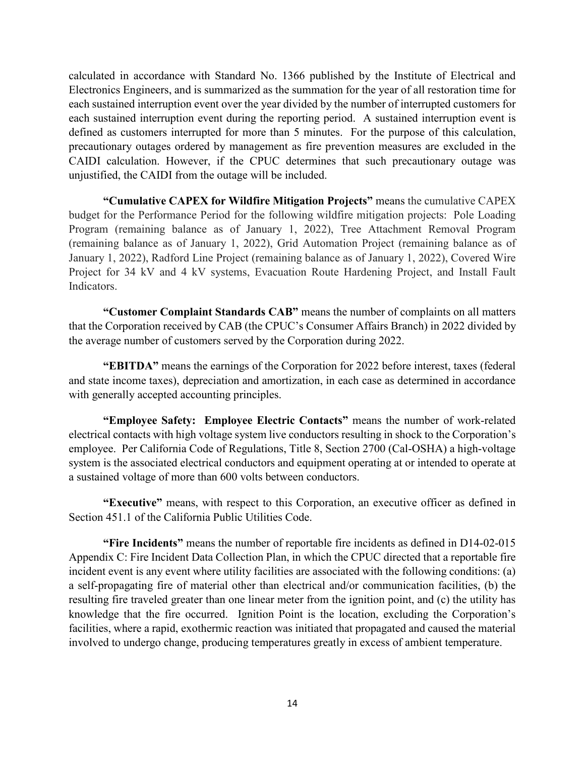calculated in accordance with Standard No. 1366 published by the Institute of Electrical and Electronics Engineers, and is summarized as the summation for the year of all restoration time for each sustained interruption event over the year divided by the number of interrupted customers for each sustained interruption event during the reporting period. A sustained interruption event is defined as customers interrupted for more than 5 minutes. For the purpose of this calculation, precautionary outages ordered by management as fire prevention measures are excluded in the CAIDI calculation. However, if the CPUC determines that such precautionary outage was unjustified, the CAIDI from the outage will be included.

**"Cumulative CAPEX for Wildfire Mitigation Projects"** means the cumulative CAPEX budget for the Performance Period for the following wildfire mitigation projects: Pole Loading Program (remaining balance as of January 1, 2022), Tree Attachment Removal Program (remaining balance as of January 1, 2022), Grid Automation Project (remaining balance as of January 1, 2022), Radford Line Project (remaining balance as of January 1, 2022), Covered Wire Project for 34 kV and 4 kV systems, Evacuation Route Hardening Project, and Install Fault Indicators.

**"Customer Complaint Standards CAB"** means the number of complaints on all matters that the Corporation received by CAB (the CPUC's Consumer Affairs Branch) in 2022 divided by the average number of customers served by the Corporation during 2022.

**"EBITDA"** means the earnings of the Corporation for 2022 before interest, taxes (federal and state income taxes), depreciation and amortization, in each case as determined in accordance with generally accepted accounting principles.

**"Employee Safety: Employee Electric Contacts"** means the number of work-related electrical contacts with high voltage system live conductors resulting in shock to the Corporation's employee. Per California Code of Regulations, Title 8, Section 2700 (Cal-OSHA) a high-voltage system is the associated electrical conductors and equipment operating at or intended to operate at a sustained voltage of more than 600 volts between conductors.

**"Executive"** means, with respect to this Corporation, an executive officer as defined in Section 451.1 of the California Public Utilities Code.

**"Fire Incidents"** means the number of reportable fire incidents as defined in D14-02-015 Appendix C: Fire Incident Data Collection Plan, in which the CPUC directed that a reportable fire incident event is any event where utility facilities are associated with the following conditions: (a) a self-propagating fire of material other than electrical and/or communication facilities, (b) the resulting fire traveled greater than one linear meter from the ignition point, and (c) the utility has knowledge that the fire occurred. Ignition Point is the location, excluding the Corporation's facilities, where a rapid, exothermic reaction was initiated that propagated and caused the material involved to undergo change, producing temperatures greatly in excess of ambient temperature.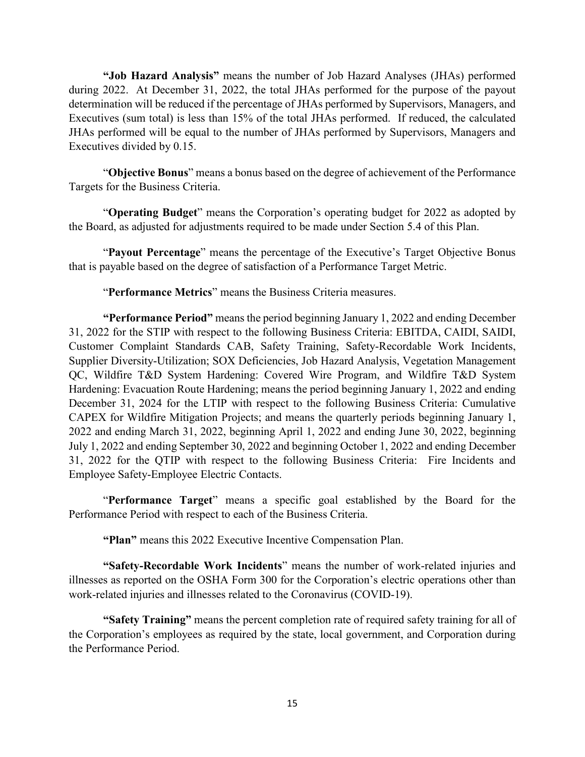**"Job Hazard Analysis"** means the number of Job Hazard Analyses (JHAs) performed during 2022. At December 31, 2022, the total JHAs performed for the purpose of the payout determination will be reduced if the percentage of JHAs performed by Supervisors, Managers, and Executives (sum total) is less than 15% of the total JHAs performed. If reduced, the calculated JHAs performed will be equal to the number of JHAs performed by Supervisors, Managers and Executives divided by 0.15.

"**Objective Bonus**" means a bonus based on the degree of achievement of the Performance Targets for the Business Criteria.

"**Operating Budget**" means the Corporation's operating budget for 2022 as adopted by the Board, as adjusted for adjustments required to be made under Section 5.4 of this Plan.

"**Payout Percentage**" means the percentage of the Executive's Target Objective Bonus that is payable based on the degree of satisfaction of a Performance Target Metric.

"**Performance Metrics**" means the Business Criteria measures.

**"Performance Period"** means the period beginning January 1, 2022 and ending December 31, 2022 for the STIP with respect to the following Business Criteria: EBITDA, CAIDI, SAIDI, Customer Complaint Standards CAB, Safety Training, Safety-Recordable Work Incidents, Supplier Diversity-Utilization; SOX Deficiencies, Job Hazard Analysis, Vegetation Management QC, Wildfire T&D System Hardening: Covered Wire Program, and Wildfire T&D System Hardening: Evacuation Route Hardening; means the period beginning January 1, 2022 and ending December 31, 2024 for the LTIP with respect to the following Business Criteria: Cumulative CAPEX for Wildfire Mitigation Projects; and means the quarterly periods beginning January 1, 2022 and ending March 31, 2022, beginning April 1, 2022 and ending June 30, 2022, beginning July 1, 2022 and ending September 30, 2022 and beginning October 1, 2022 and ending December 31, 2022 for the QTIP with respect to the following Business Criteria: Fire Incidents and Employee Safety-Employee Electric Contacts.

"**Performance Target**" means a specific goal established by the Board for the Performance Period with respect to each of the Business Criteria.

**"Plan"** means this 2022 Executive Incentive Compensation Plan.

**"Safety-Recordable Work Incidents**" means the number of work-related injuries and illnesses as reported on the OSHA Form 300 for the Corporation's electric operations other than work-related injuries and illnesses related to the Coronavirus (COVID-19).

**"Safety Training"** means the percent completion rate of required safety training for all of the Corporation's employees as required by the state, local government, and Corporation during the Performance Period.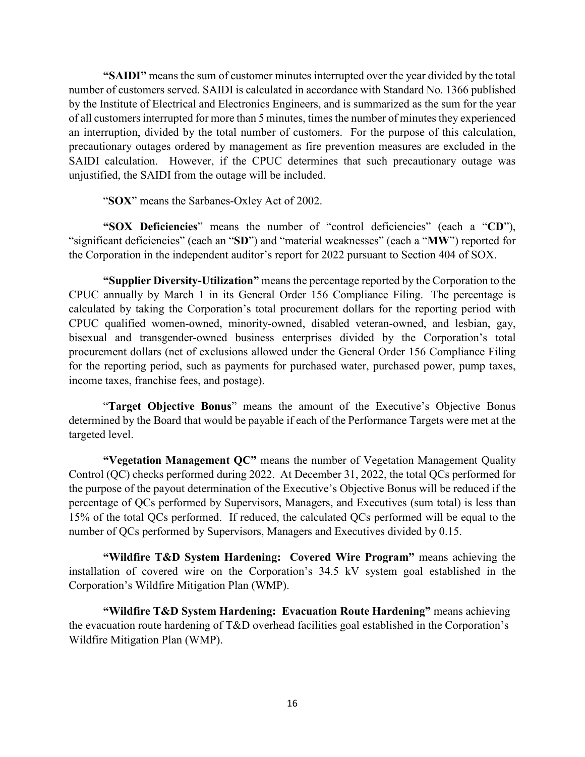**"SAIDI"** means the sum of customer minutes interrupted over the year divided by the total number of customers served. SAIDI is calculated in accordance with Standard No. 1366 published by the Institute of Electrical and Electronics Engineers, and is summarized as the sum for the year of all customers interrupted for more than 5 minutes, times the number of minutes they experienced an interruption, divided by the total number of customers. For the purpose of this calculation, precautionary outages ordered by management as fire prevention measures are excluded in the SAIDI calculation. However, if the CPUC determines that such precautionary outage was unjustified, the SAIDI from the outage will be included.

"**SOX**" means the Sarbanes-Oxley Act of 2002.

**"SOX Deficiencies**" means the number of "control deficiencies" (each a "**CD**"), "significant deficiencies" (each an "**SD**") and "material weaknesses" (each a "**MW**") reported for the Corporation in the independent auditor's report for 2022 pursuant to Section 404 of SOX.

**"Supplier Diversity-Utilization"** means the percentage reported by the Corporation to the CPUC annually by March 1 in its General Order 156 Compliance Filing. The percentage is calculated by taking the Corporation's total procurement dollars for the reporting period with CPUC qualified women-owned, minority-owned, disabled veteran-owned, and lesbian, gay, bisexual and transgender-owned business enterprises divided by the Corporation's total procurement dollars (net of exclusions allowed under the General Order 156 Compliance Filing for the reporting period, such as payments for purchased water, purchased power, pump taxes, income taxes, franchise fees, and postage).

"**Target Objective Bonus**" means the amount of the Executive's Objective Bonus determined by the Board that would be payable if each of the Performance Targets were met at the targeted level.

**"Vegetation Management QC"** means the number of Vegetation Management Quality Control (QC) checks performed during 2022. At December 31, 2022, the total QCs performed for the purpose of the payout determination of the Executive's Objective Bonus will be reduced if the percentage of QCs performed by Supervisors, Managers, and Executives (sum total) is less than 15% of the total QCs performed. If reduced, the calculated QCs performed will be equal to the number of QCs performed by Supervisors, Managers and Executives divided by 0.15.

**"Wildfire T&D System Hardening: Covered Wire Program"** means achieving the installation of covered wire on the Corporation's 34.5 kV system goal established in the Corporation's Wildfire Mitigation Plan (WMP).

**"Wildfire T&D System Hardening: Evacuation Route Hardening"** means achieving the evacuation route hardening of T&D overhead facilities goal established in the Corporation's Wildfire Mitigation Plan (WMP).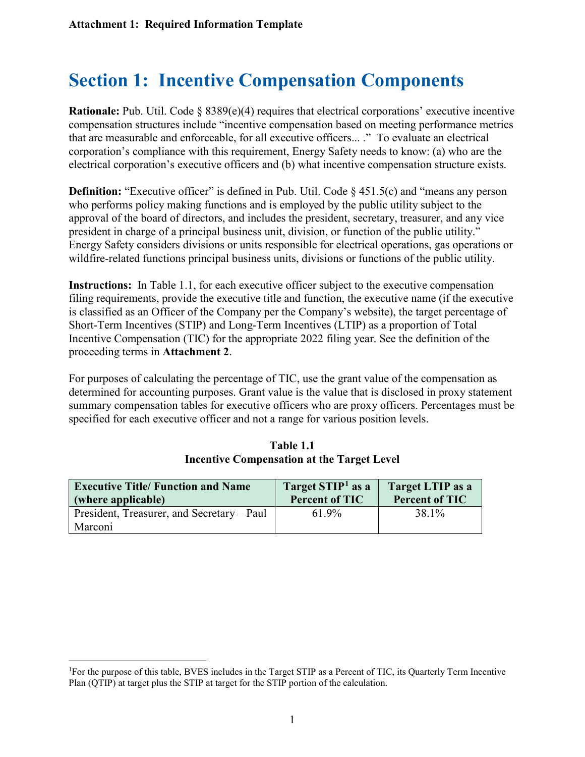# **Section 1: Incentive Compensation Components**

**Rationale:** Pub. Util. Code  $\S 8389(e)(4)$  requires that electrical corporations' executive incentive compensation structures include "incentive compensation based on meeting performance metrics that are measurable and enforceable, for all executive officers... ." To evaluate an electrical corporation's compliance with this requirement, Energy Safety needs to know: (a) who are the electrical corporation's executive officers and (b) what incentive compensation structure exists.

**Definition:** "Executive officer" is defined in Pub. Util. Code  $\S$  451.5(c) and "means any person who performs policy making functions and is employed by the public utility subject to the approval of the board of directors, and includes the president, secretary, treasurer, and any vice president in charge of a principal business unit, division, or function of the public utility." Energy Safety considers divisions or units responsible for electrical operations, gas operations or wildfire-related functions principal business units, divisions or functions of the public utility.

**Instructions:** In Table 1.1, for each executive officer subject to the executive compensation filing requirements, provide the executive title and function, the executive name (if the executive is classified as an Officer of the Company per the Company's website), the target percentage of Short-Term Incentives (STIP) and Long-Term Incentives (LTIP) as a proportion of Total Incentive Compensation (TIC) for the appropriate 2022 filing year. See the definition of the proceeding terms in **Attachment 2**.

For purposes of calculating the percentage of TIC, use the grant value of the compensation as determined for accounting purposes. Grant value is the value that is disclosed in proxy statement summary compensation tables for executive officers who are proxy officers. Percentages must be specified for each executive officer and not a range for various position levels.

| <b>Executive Title/ Function and Name</b><br>(where applicable) | Target STIP <sup>1</sup> as a<br><b>Percent of TIC</b> | Target LTIP as a<br><b>Percent of TIC</b> |
|-----------------------------------------------------------------|--------------------------------------------------------|-------------------------------------------|
| President, Treasurer, and Secretary – Paul                      | 61.9%                                                  | 38.1%                                     |
| Marconi                                                         |                                                        |                                           |

#### **Table 1.1 Incentive Compensation at the Target Level**

<span id="page-17-0"></span><sup>|&</sup>lt;br>|<br>| For the purpose of this table, BVES includes in the Target STIP as a Percent of TIC, its Quarterly Term Incentive Plan (QTIP) at target plus the STIP at target for the STIP portion of the calculation.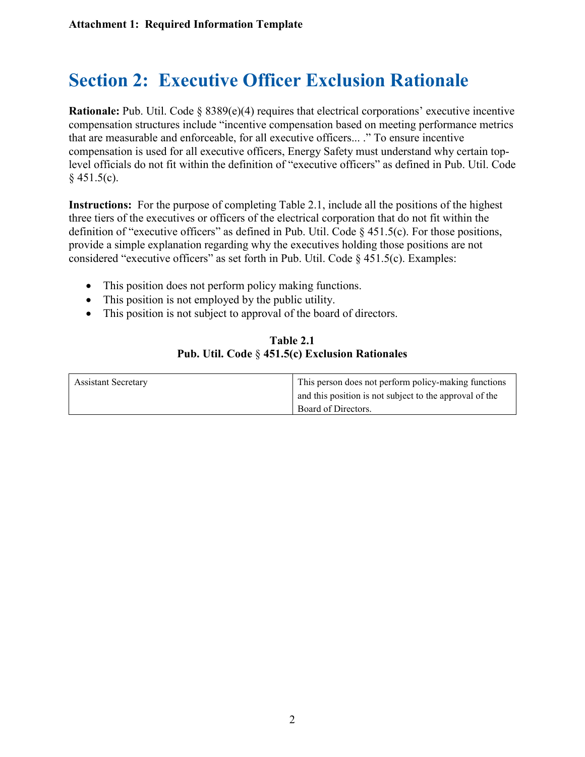# **Section 2: Executive Officer Exclusion Rationale**

**Rationale:** Pub. Util. Code § 8389(e)(4) requires that electrical corporations' executive incentive compensation structures include "incentive compensation based on meeting performance metrics that are measurable and enforceable, for all executive officers... ." To ensure incentive compensation is used for all executive officers, Energy Safety must understand why certain toplevel officials do not fit within the definition of "executive officers" as defined in Pub. Util. Code  $§$  451.5(c).

**Instructions:** For the purpose of completing Table 2.1, include all the positions of the highest three tiers of the executives or officers of the electrical corporation that do not fit within the definition of "executive officers" as defined in Pub. Util. Code § 451.5(c). For those positions, provide a simple explanation regarding why the executives holding those positions are not considered "executive officers" as set forth in Pub. Util. Code  $\S$  451.5(c). Examples:

- This position does not perform policy making functions.
- This position is not employed by the public utility.
- This position is not subject to approval of the board of directors.

| Table 2.1                                              |
|--------------------------------------------------------|
| <b>Pub. Util. Code § 451.5(c) Exclusion Rationales</b> |

| <b>Assistant Secretary</b> | This person does not perform policy-making functions    |
|----------------------------|---------------------------------------------------------|
|                            | and this position is not subject to the approval of the |
|                            | Board of Directors.                                     |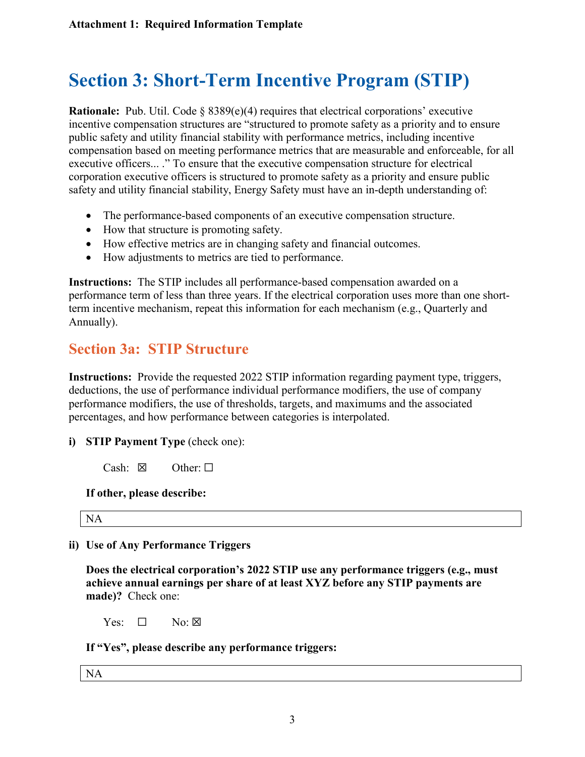# **Section 3: Short-Term Incentive Program (STIP)**

**Rationale:** Pub. Util. Code § 8389(e)(4) requires that electrical corporations' executive incentive compensation structures are "structured to promote safety as a priority and to ensure public safety and utility financial stability with performance metrics, including incentive compensation based on meeting performance metrics that are measurable and enforceable, for all executive officers... ." To ensure that the executive compensation structure for electrical corporation executive officers is structured to promote safety as a priority and ensure public safety and utility financial stability, Energy Safety must have an in-depth understanding of:

- The performance-based components of an executive compensation structure.
- How that structure is promoting safety.
- How effective metrics are in changing safety and financial outcomes.
- How adjustments to metrics are tied to performance.

**Instructions:** The STIP includes all performance-based compensation awarded on a performance term of less than three years. If the electrical corporation uses more than one shortterm incentive mechanism, repeat this information for each mechanism (e.g., Quarterly and Annually).

### **Section 3a: STIP Structure**

**Instructions:** Provide the requested 2022 STIP information regarding payment type, triggers, deductions, the use of performance individual performance modifiers, the use of company performance modifiers, the use of thresholds, targets, and maximums and the associated percentages, and how performance between categories is interpolated.

- **i) STIP Payment Type** (check one):
	- Cash:  $\boxtimes$  Other:  $\Box$

#### **If other, please describe:**

NA

#### **ii) Use of Any Performance Triggers**

**Does the electrical corporation's 2022 STIP use any performance triggers (e.g., must achieve annual earnings per share of at least XYZ before any STIP payments are made)?** Check one:

 $Yes: \Box$  No: ⊠

**If "Yes", please describe any performance triggers:** 

NA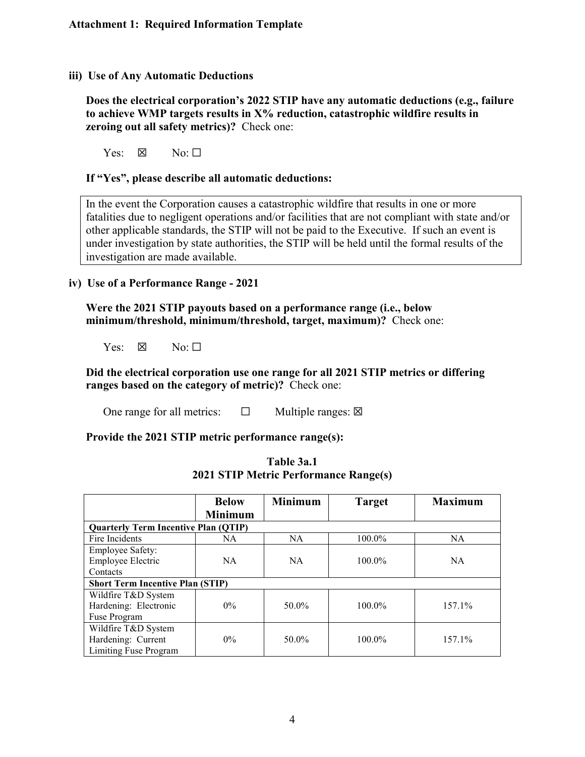#### **iii) Use of Any Automatic Deductions**

**Does the electrical corporation's 2022 STIP have any automatic deductions (e.g., failure to achieve WMP targets results in X% reduction, catastrophic wildfire results in zeroing out all safety metrics)?** Check one:

Yes:  $\boxtimes$  No:  $\square$ 

#### **If "Yes", please describe all automatic deductions:**

In the event the Corporation causes a catastrophic wildfire that results in one or more fatalities due to negligent operations and/or facilities that are not compliant with state and/or other applicable standards, the STIP will not be paid to the Executive. If such an event is under investigation by state authorities, the STIP will be held until the formal results of the investigation are made available.

#### **iv) Use of a Performance Range - 2021**

**Were the 2021 STIP payouts based on a performance range (i.e., below minimum/threshold, minimum/threshold, target, maximum)?** Check one:

Yes:  $\boxtimes$  No:  $\square$ 

**Did the electrical corporation use one range for all 2021 STIP metrics or differing ranges based on the category of metric)?** Check one:

One range for all metrics:  $\Box$  Multiple ranges:  $\boxtimes$ 

**Provide the 2021 STIP metric performance range(s):**

|                                                                    | <b>Below</b><br><b>Minimum</b> | <b>Minimum</b> | <b>Target</b> | <b>Maximum</b> |
|--------------------------------------------------------------------|--------------------------------|----------------|---------------|----------------|
| <b>Quarterly Term Incentive Plan (QTIP)</b>                        |                                |                |               |                |
| Fire Incidents                                                     | NA                             | NA             | 100.0%        | NA.            |
| <b>Employee Safety:</b><br><b>Employee Electric</b><br>Contacts    | NA.                            | <b>NA</b>      | $100.0\%$     | <b>NA</b>      |
| <b>Short Term Incentive Plan (STIP)</b>                            |                                |                |               |                |
| Wildfire T&D System<br>Hardening: Electronic<br>Fuse Program       | $0\%$                          | 50.0%          | $100.0\%$     | 157.1%         |
| Wildfire T&D System<br>Hardening: Current<br>Limiting Fuse Program | $0\%$                          | 50.0%          | 100.0%        | 157.1%         |

| Table 3a.1 |                                              |  |  |
|------------|----------------------------------------------|--|--|
|            | <b>2021 STIP Metric Performance Range(s)</b> |  |  |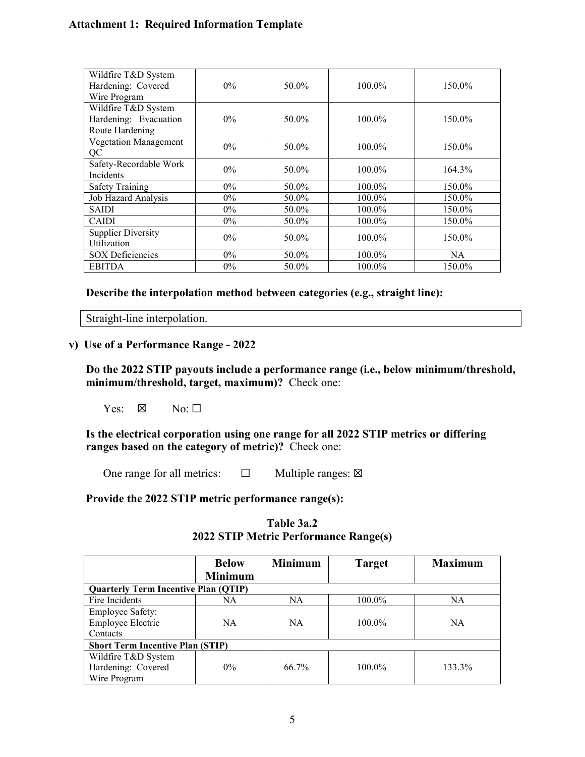| Wildfire T&D System<br>Hardening: Covered | $0\%$ | 50.0% | 100.0%    | 150.0% |
|-------------------------------------------|-------|-------|-----------|--------|
| Wire Program                              |       |       |           |        |
| Wildfire T&D System                       |       |       |           |        |
| Hardening: Evacuation                     | $0\%$ | 50.0% | $100.0\%$ | 150.0% |
| Route Hardening                           |       |       |           |        |
| Vegetation Management                     |       |       |           |        |
| QC                                        | $0\%$ | 50.0% | 100.0%    | 150.0% |
| Safety-Recordable Work                    |       |       |           |        |
| Incidents                                 | $0\%$ | 50.0% | 100.0%    | 164.3% |
| Safety Training                           | $0\%$ | 50.0% | 100.0%    | 150.0% |
| Job Hazard Analysis                       | $0\%$ | 50.0% | 100.0%    | 150.0% |
| <b>SAIDI</b>                              | $0\%$ | 50.0% | 100.0%    | 150.0% |
| <b>CAIDI</b>                              | $0\%$ | 50.0% | 100.0%    | 150.0% |
| <b>Supplier Diversity</b>                 | $0\%$ |       | $100.0\%$ |        |
| Utilization                               |       | 50.0% |           | 150.0% |
| <b>SOX Deficiencies</b>                   | $0\%$ | 50.0% | 100.0%    | NA.    |
| <b>EBITDA</b>                             | $0\%$ | 50.0% | 100.0%    | 150.0% |

**Describe the interpolation method between categories (e.g., straight line):**

Straight-line interpolation.

#### **v) Use of a Performance Range - 2022**

**Do the 2022 STIP payouts include a performance range (i.e., below minimum/threshold, minimum/threshold, target, maximum)?** Check one:

 $Yes: \boxtimes \text{No}: \square$ 

**Is the electrical corporation using one range for all 2022 STIP metrics or differing ranges based on the category of metric)?** Check one:

One range for all metrics:  $□$  Multiple ranges:  $□$ 

#### **Provide the 2022 STIP metric performance range(s):**

|                                             | <b>Below</b>   | <b>Minimum</b> | <b>Target</b> | <b>Maximum</b> |
|---------------------------------------------|----------------|----------------|---------------|----------------|
|                                             | <b>Minimum</b> |                |               |                |
| <b>Quarterly Term Incentive Plan (QTIP)</b> |                |                |               |                |
| Fire Incidents                              | NA             | NA             | 100.0%        | NA             |
| <b>Employee Safety:</b>                     |                |                |               |                |
| <b>Employee Electric</b>                    | NA.            | <b>NA</b>      | $100.0\%$     | <b>NA</b>      |
| Contacts                                    |                |                |               |                |
| <b>Short Term Incentive Plan (STIP)</b>     |                |                |               |                |
| Wildfire T&D System                         |                |                |               |                |
| Hardening: Covered                          | $0\%$          | 66.7%          | $100.0\%$     | 133.3%         |
| Wire Program                                |                |                |               |                |

#### **Table 3a.2 2022 STIP Metric Performance Range(s)**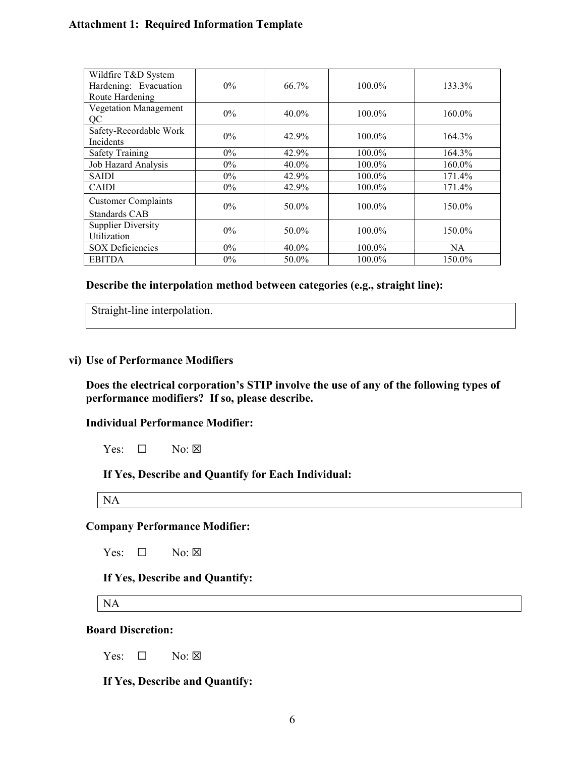| Wildfire T&D System<br>Hardening: Evacuation | $0\%$ | $66.7\%$ | $100.0\%$ | 133.3%    |
|----------------------------------------------|-------|----------|-----------|-----------|
| Route Hardening                              |       |          |           |           |
| Vegetation Management<br>QC                  | $0\%$ | $40.0\%$ | $100.0\%$ | 160.0%    |
| Safety-Recordable Work<br>Incidents          | $0\%$ | 42.9%    | $100.0\%$ | 164.3%    |
| <b>Safety Training</b>                       | $0\%$ | 42.9%    | 100.0%    | 164.3%    |
| Job Hazard Analysis                          | $0\%$ | 40.0%    | 100.0%    | 160.0%    |
| <b>SAIDI</b>                                 | $0\%$ | 42.9%    | 100.0%    | 171.4%    |
| <b>CAIDI</b>                                 | $0\%$ | 42.9%    | 100.0%    | 171.4%    |
| <b>Customer Complaints</b><br>Standards CAB  | $0\%$ | 50.0%    | $100.0\%$ | 150.0%    |
| <b>Supplier Diversity</b><br>Utilization     | $0\%$ | 50.0%    | $100.0\%$ | 150.0%    |
| <b>SOX Deficiencies</b>                      | $0\%$ | 40.0%    | 100.0%    | <b>NA</b> |
| <b>EBITDA</b>                                | $0\%$ | 50.0%    | 100.0%    | 150.0%    |

**Describe the interpolation method between categories (e.g., straight line):**

Straight-line interpolation.

#### **vi) Use of Performance Modifiers**

**Does the electrical corporation's STIP involve the use of any of the following types of performance modifiers? If so, please describe.**

#### **Individual Performance Modifier:**

Yes:  $\Box$  No:  $\boxtimes$ 

**If Yes, Describe and Quantify for Each Individual:** 

NA

#### **Company Performance Modifier:**

Yes:  $\square$  No:  $\square$ 

#### **If Yes, Describe and Quantify:**

NA

#### **Board Discretion:**

Yes:  $\Box$  No:  $\boxtimes$ 

**If Yes, Describe and Quantify:**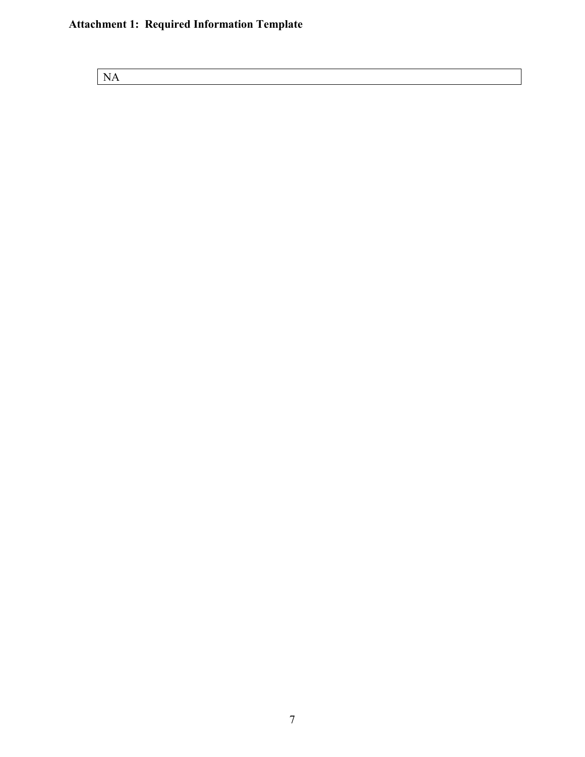NA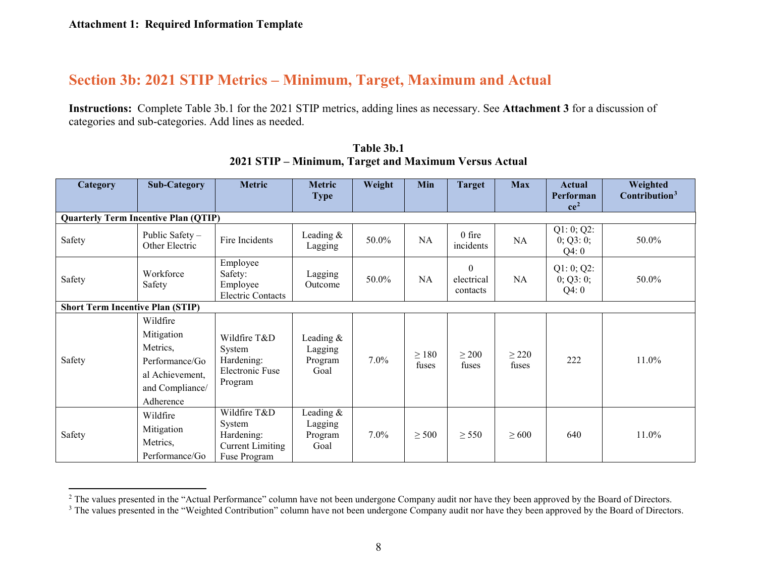### **Section 3b: 2021 STIP Metrics – Minimum, Target, Maximum and Actual**

**Instructions:** Complete Table 3b.1 for the 2021 STIP metrics, adding lines as necessary. See **Attachment 3** for a discussion of categories and sub-categories. Add lines as needed.

| Category                                    | <b>Sub-Category</b>                                                                                     | <b>Metric</b>                                                                   | <b>Metric</b><br><b>Type</b>              | Weight  | Min                 | <b>Target</b>                              | <b>Max</b>          | <b>Actual</b><br>Performan<br>ce <sup>2</sup> | Weighted<br>Contribution <sup>3</sup> |
|---------------------------------------------|---------------------------------------------------------------------------------------------------------|---------------------------------------------------------------------------------|-------------------------------------------|---------|---------------------|--------------------------------------------|---------------------|-----------------------------------------------|---------------------------------------|
| <b>Quarterly Term Incentive Plan (QTIP)</b> |                                                                                                         |                                                                                 |                                           |         |                     |                                            |                     |                                               |                                       |
| Safety                                      | Public Safety -<br>Other Electric                                                                       | Fire Incidents                                                                  | Leading $&$<br>Lagging                    | 50.0%   | NA                  | $0$ fire<br>incidents                      | NA                  | Q1: 0; Q2:<br>0; Q3:0;<br>Q4:0                | 50.0%                                 |
| Safety                                      | Workforce<br>Safety                                                                                     | Employee<br>Safety:<br>Employee<br><b>Electric Contacts</b>                     | Lagging<br>Outcome                        | 50.0%   | <b>NA</b>           | $\boldsymbol{0}$<br>electrical<br>contacts | NA                  | Q1: 0; Q2:<br>0; Q3:0;<br>Q4:0                | 50.0%                                 |
| <b>Short Term Incentive Plan (STIP)</b>     |                                                                                                         |                                                                                 |                                           |         |                     |                                            |                     |                                               |                                       |
| Safety                                      | Wildfire<br>Mitigation<br>Metrics,<br>Performance/Go<br>al Achievement,<br>and Compliance/<br>Adherence | Wildfire T&D<br>System<br>Hardening:<br>Electronic Fuse<br>Program              | Leading $&$<br>Lagging<br>Program<br>Goal | $7.0\%$ | $\geq$ 180<br>fuses | $\geq 200$<br>fuses                        | $\geq$ 220<br>fuses | 222                                           | 11.0%                                 |
| Safety                                      | Wildfire<br>Mitigation<br>Metrics,<br>Performance/Go                                                    | Wildfire T&D<br>System<br>Hardening:<br><b>Current Limiting</b><br>Fuse Program | Leading &<br>Lagging<br>Program<br>Goal   | 7.0%    | $\geq$ 500          | $\geq$ 550                                 | $\geq 600$          | 640                                           | 11.0%                                 |

<span id="page-24-1"></span><span id="page-24-0"></span>**Table 3b.1 2021 STIP – Minimum, Target and Maximum Versus Actual**

<sup>&</sup>lt;sup>2</sup> The values presented in the "Actual Performance" column have not been undergone Company audit nor have they been approved by the Board of Directors.

<sup>&</sup>lt;sup>3</sup> The values presented in the "Weighted Contribution" column have not been undergone Company audit nor have they been approved by the Board of Directors.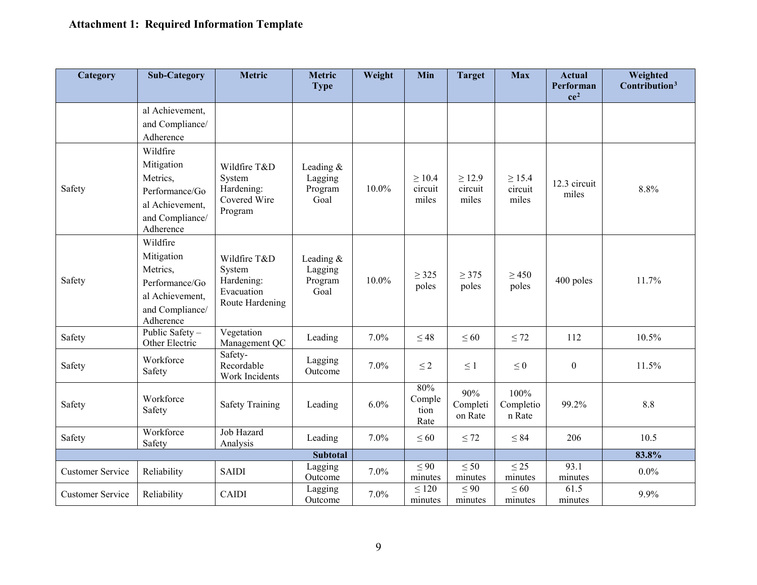| Category                | <b>Sub-Category</b>                                                                                     | <b>Metric</b>                                                         | <b>Metric</b><br><b>Type</b>              | Weight  | Min                             | <b>Target</b>                   | <b>Max</b>                      | <b>Actual</b><br>Performan<br>ce <sup>2</sup> | Weighted<br>Contribution <sup>3</sup> |
|-------------------------|---------------------------------------------------------------------------------------------------------|-----------------------------------------------------------------------|-------------------------------------------|---------|---------------------------------|---------------------------------|---------------------------------|-----------------------------------------------|---------------------------------------|
|                         | al Achievement,<br>and Compliance/<br>Adherence                                                         |                                                                       |                                           |         |                                 |                                 |                                 |                                               |                                       |
| Safety                  | Wildfire<br>Mitigation<br>Metrics,<br>Performance/Go<br>al Achievement,<br>and Compliance/<br>Adherence | Wildfire T&D<br>System<br>Hardening:<br>Covered Wire<br>Program       | Leading &<br>Lagging<br>Program<br>Goal   | 10.0%   | $\geq 10.4$<br>circuit<br>miles | $\geq$ 12.9<br>circuit<br>miles | $\geq 15.4$<br>circuit<br>miles | 12.3 circuit<br>miles                         | 8.8%                                  |
| Safety                  | Wildfire<br>Mitigation<br>Metrics,<br>Performance/Go<br>al Achievement,<br>and Compliance/<br>Adherence | Wildfire T&D<br>System<br>Hardening:<br>Evacuation<br>Route Hardening | Leading $&$<br>Lagging<br>Program<br>Goal | 10.0%   | $\geq$ 325<br>poles             | $\geq$ 375<br>poles             | $\geq 450$<br>poles             | 400 poles                                     | 11.7%                                 |
| Safety                  | Public Safety-<br>Other Electric                                                                        | Vegetation<br>Management QC                                           | Leading                                   | 7.0%    | $\leq 48$                       | $\leq 60$                       | $\leq$ 72                       | 112                                           | 10.5%                                 |
| Safety                  | Workforce<br>Safety                                                                                     | Safety-<br>Recordable<br>Work Incidents                               | Lagging<br>Outcome                        | 7.0%    | $\leq$ 2                        | $\leq 1$                        | $\leq 0$                        | $\boldsymbol{0}$                              | 11.5%                                 |
| Safety                  | Workforce<br>Safety                                                                                     | <b>Safety Training</b>                                                | Leading                                   | $6.0\%$ | 80%<br>Comple<br>tion<br>Rate   | 90%<br>Completi<br>on Rate      | 100%<br>Completio<br>n Rate     | 99.2%                                         | $8.8\,$                               |
| Safety                  | Workforce<br>Safety                                                                                     | Job Hazard<br>Analysis                                                | Leading                                   | 7.0%    | $\leq 60$                       | $\leq 72$                       | $\leq 84$                       | 206                                           | 10.5                                  |
|                         |                                                                                                         |                                                                       | <b>Subtotal</b>                           |         |                                 |                                 |                                 |                                               | 83.8%                                 |
| <b>Customer Service</b> | Reliability                                                                                             | <b>SAIDI</b>                                                          | Lagging<br>Outcome                        | 7.0%    | $\leq 90$<br>minutes            | $\leq 50$<br>minutes            | $\leq$ 25<br>minutes            | 93.1<br>minutes                               | $0.0\%$                               |
| <b>Customer Service</b> | Reliability                                                                                             | <b>CAIDI</b>                                                          | Lagging<br>Outcome                        | 7.0%    | $\leq 120$<br>minutes           | $\leq 90$<br>minutes            | $\leq 60$<br>minutes            | 61.5<br>minutes                               | 9.9%                                  |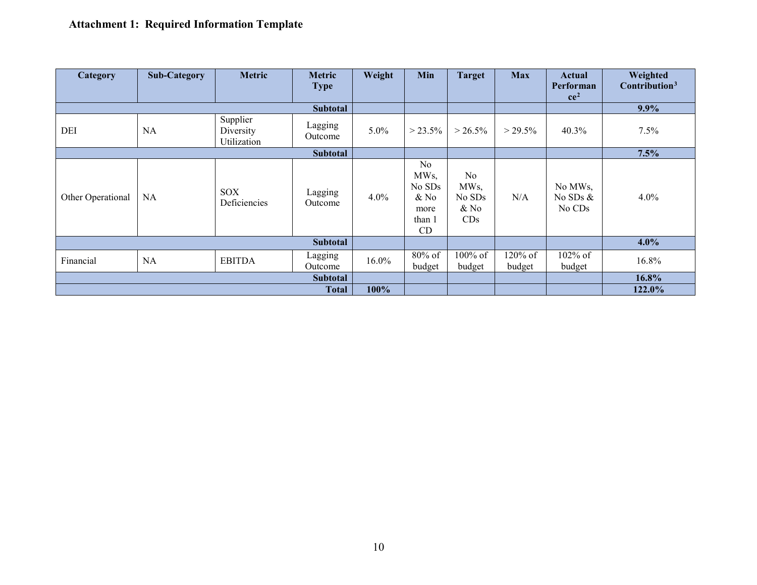| Category          | <b>Sub-Category</b> | <b>Metric</b>                        | <b>Metric</b><br><b>Type</b> | Weight   | Min                                                             | <b>Target</b>                         | <b>Max</b>        | Actual<br>Performan<br>ce <sup>2</sup>      | Weighted<br>Contribution <sup>3</sup> |
|-------------------|---------------------|--------------------------------------|------------------------------|----------|-----------------------------------------------------------------|---------------------------------------|-------------------|---------------------------------------------|---------------------------------------|
|                   |                     |                                      | <b>Subtotal</b>              |          |                                                                 |                                       |                   |                                             | 9.9%                                  |
| DEI               | <b>NA</b>           | Supplier<br>Diversity<br>Utilization | Lagging<br>Outcome           | $5.0\%$  | $> 23.5\%$                                                      | $> 26.5\%$                            | $> 29.5\%$        | 40.3%                                       | 7.5%                                  |
|                   |                     |                                      | <b>Subtotal</b>              |          |                                                                 |                                       |                   |                                             | 7.5%                                  |
| Other Operational | NA                  | SOX<br>Deficiencies                  | Lagging<br>Outcome           | $4.0\%$  | No<br>MW <sub>s</sub><br>No SDs<br>& No<br>more<br>than 1<br>CD | No<br>MWs,<br>No SDs<br>$&$ No<br>CDs | N/A               | No MWs,<br>No SDs $&$<br>No CD <sub>s</sub> | 4.0%                                  |
|                   |                     |                                      | <b>Subtotal</b>              |          |                                                                 |                                       |                   |                                             | 4.0%                                  |
| Financial         | NA                  | <b>EBITDA</b>                        | Lagging<br>Outcome           | $16.0\%$ | 80% of<br>budget                                                | $100\%$ of<br>budget                  | 120% of<br>budget | 102% of<br>budget                           | 16.8%                                 |
| <b>Subtotal</b>   |                     |                                      |                              |          |                                                                 |                                       |                   |                                             | 16.8%                                 |
|                   |                     |                                      | <b>Total</b>                 | 100%     |                                                                 |                                       |                   |                                             | 122.0%                                |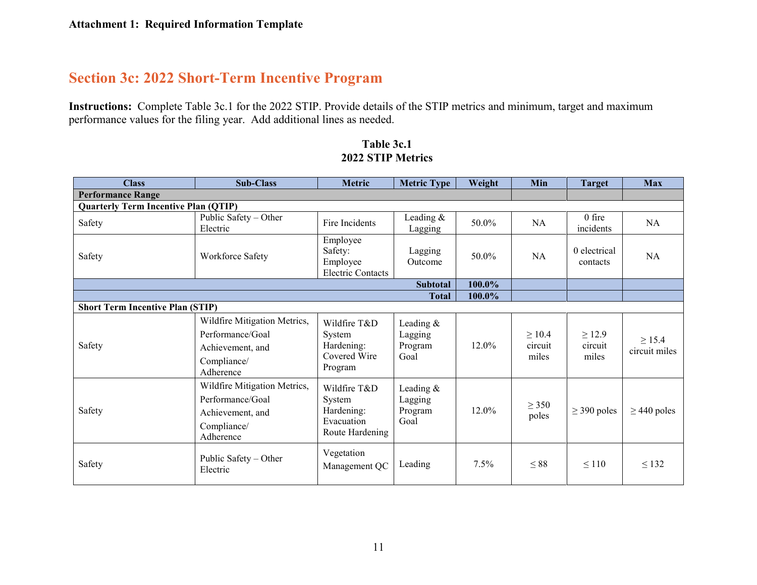## **Section 3c: 2022 Short-Term Incentive Program**

**Instructions:** Complete Table 3c.1 for the 2022 STIP. Provide details of the STIP metrics and minimum, target and maximum performance values for the filing year. Add additional lines as needed.

#### **Table 3c.1 2022 STIP Metrics**

| <b>Class</b>                                | <b>Sub-Class</b>                                                                                 | Metric                                                                | <b>Metric Type</b>                      | Weight | Min                             | <b>Target</b>                   | <b>Max</b>                   |
|---------------------------------------------|--------------------------------------------------------------------------------------------------|-----------------------------------------------------------------------|-----------------------------------------|--------|---------------------------------|---------------------------------|------------------------------|
| <b>Performance Range</b>                    |                                                                                                  |                                                                       |                                         |        |                                 |                                 |                              |
| <b>Quarterly Term Incentive Plan (QTIP)</b> |                                                                                                  |                                                                       |                                         |        |                                 |                                 |                              |
| Safety                                      | Public Safety - Other<br>Electric                                                                | Fire Incidents                                                        | Leading &<br>Lagging                    | 50.0%  | NA                              | $0$ fire<br>incidents           | <b>NA</b>                    |
| Safety                                      | Workforce Safety                                                                                 | Employee<br>Safety:<br>Employee<br><b>Electric Contacts</b>           | Lagging<br>Outcome                      | 50.0%  | <b>NA</b>                       | 0 electrical<br>contacts        | NA                           |
|                                             |                                                                                                  |                                                                       | <b>Subtotal</b>                         | 100.0% |                                 |                                 |                              |
|                                             |                                                                                                  |                                                                       | Total                                   | 100.0% |                                 |                                 |                              |
| <b>Short Term Incentive Plan (STIP)</b>     |                                                                                                  |                                                                       |                                         |        |                                 |                                 |                              |
| Safety                                      | Wildfire Mitigation Metrics,<br>Performance/Goal<br>Achievement, and<br>Compliance/<br>Adherence | Wildfire T&D<br>System<br>Hardening:<br>Covered Wire<br>Program       | Leading &<br>Lagging<br>Program<br>Goal | 12.0%  | $\geq 10.4$<br>circuit<br>miles | $\geq$ 12.9<br>circuit<br>miles | $\geq 15.4$<br>circuit miles |
| Safety                                      | Wildfire Mitigation Metrics,<br>Performance/Goal<br>Achievement, and<br>Compliance/<br>Adherence | Wildfire T&D<br>System<br>Hardening:<br>Evacuation<br>Route Hardening | Leading &<br>Lagging<br>Program<br>Goal | 12.0%  | $\geq$ 350<br>poles             | $\geq$ 390 poles                | $\geq$ 440 poles             |
| Safety                                      | Public Safety – Other<br>Electric                                                                | Vegetation<br>Management QC                                           | Leading                                 | 7.5%   | $\leq 88$                       | $\leq$ 110                      | $\leq$ 132                   |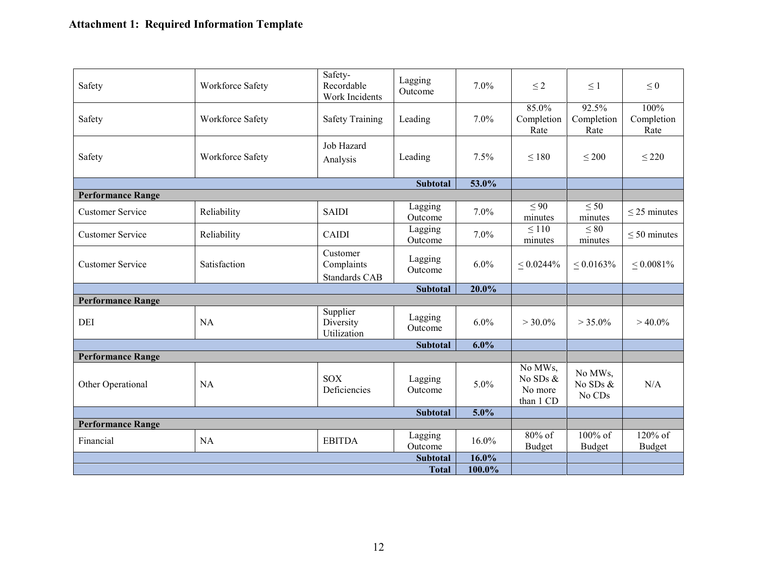| Safety                   | Workforce Safety | Safety-<br>Recordable<br>Work Incidents | Lagging<br>Outcome | $7.0\%$ | $\leq$ 2                                    | $\leq 1$                         | $\leq 0$                   |
|--------------------------|------------------|-----------------------------------------|--------------------|---------|---------------------------------------------|----------------------------------|----------------------------|
| Safety                   | Workforce Safety | <b>Safety Training</b>                  | Leading            | 7.0%    | 85.0%<br>Completion<br>Rate                 | 92.5%<br>Completion<br>Rate      | 100%<br>Completion<br>Rate |
| Safety                   | Workforce Safety | Job Hazard<br>Analysis                  | Leading            | 7.5%    | $\leq 180$                                  | $\leq 200$                       | $\leq$ 220                 |
|                          |                  |                                         | <b>Subtotal</b>    | 53.0%   |                                             |                                  |                            |
| <b>Performance Range</b> |                  |                                         |                    |         |                                             |                                  |                            |
| <b>Customer Service</b>  | Reliability      | <b>SAIDI</b>                            | Lagging<br>Outcome | 7.0%    | $\leq 90$<br>minutes                        | $\leq 50$<br>minutes             | $\leq$ 25 minutes          |
| <b>Customer Service</b>  | Reliability      | <b>CAIDI</b>                            | Lagging<br>Outcome | 7.0%    | $\leq 110$<br>minutes                       | $\leq 80$<br>minutes             | $\leq 50$ minutes          |
| <b>Customer Service</b>  | Satisfaction     | Customer<br>Complaints<br>Standards CAB | Lagging<br>Outcome | 6.0%    | $\leq 0.0244\%$                             | $\leq 0.0163\%$                  | $< 0.0081\%$               |
|                          |                  |                                         | <b>Subtotal</b>    | 20.0%   |                                             |                                  |                            |
| <b>Performance Range</b> |                  |                                         |                    |         |                                             |                                  |                            |
| <b>DEI</b>               | <b>NA</b>        | Supplier<br>Diversity<br>Utilization    | Lagging<br>Outcome | 6.0%    | $> 30.0\%$                                  | $> 35.0\%$                       | $>40.0\%$                  |
|                          |                  |                                         | <b>Subtotal</b>    | 6.0%    |                                             |                                  |                            |
| <b>Performance Range</b> |                  |                                         |                    |         |                                             |                                  |                            |
| Other Operational        | <b>NA</b>        | <b>SOX</b><br>Deficiencies              | Lagging<br>Outcome | 5.0%    | No MWs,<br>No SDs &<br>No more<br>than 1 CD | No MWs,<br>No SDs $\&$<br>No CDs | N/A                        |
|                          |                  |                                         | <b>Subtotal</b>    | 5.0%    |                                             |                                  |                            |
| <b>Performance Range</b> |                  |                                         |                    |         |                                             |                                  |                            |
| Financial                | <b>NA</b>        | <b>EBITDA</b>                           | Lagging<br>Outcome | 16.0%   | $80\%$ of<br><b>Budget</b>                  | 100% of<br>Budget                | $120%$ of<br>Budget        |
|                          |                  |                                         | <b>Subtotal</b>    | 16.0%   |                                             |                                  |                            |
|                          |                  |                                         | <b>Total</b>       | 100.0%  |                                             |                                  |                            |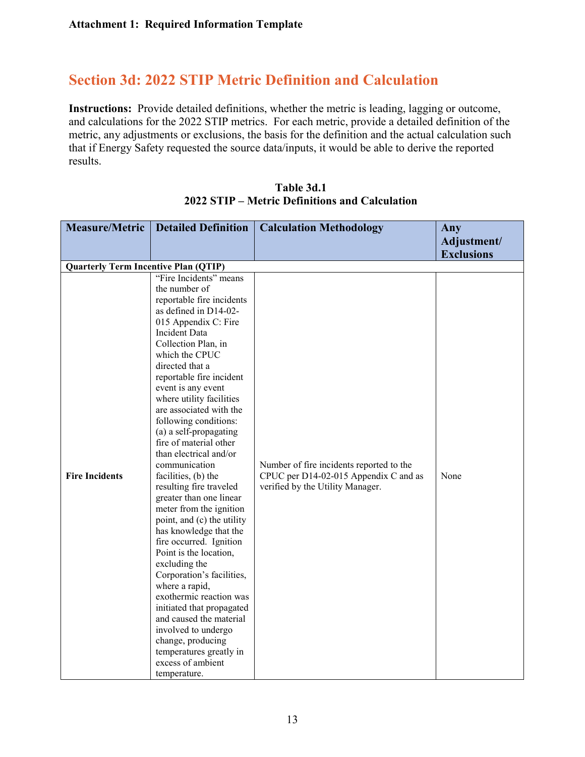## **Section 3d: 2022 STIP Metric Definition and Calculation**

**Instructions:** Provide detailed definitions, whether the metric is leading, lagging or outcome, and calculations for the 2022 STIP metrics. For each metric, provide a detailed definition of the metric, any adjustments or exclusions, the basis for the definition and the actual calculation such that if Energy Safety requested the source data/inputs, it would be able to derive the reported results.

| <b>Measure/Metric</b>                       | <b>Detailed Definition</b>                        | <b>Calculation Methodology</b>           | Any                              |
|---------------------------------------------|---------------------------------------------------|------------------------------------------|----------------------------------|
|                                             |                                                   |                                          | Adjustment/<br><b>Exclusions</b> |
| <b>Quarterly Term Incentive Plan (QTIP)</b> |                                                   |                                          |                                  |
|                                             | "Fire Incidents" means                            |                                          |                                  |
|                                             | the number of                                     |                                          |                                  |
|                                             | reportable fire incidents                         |                                          |                                  |
|                                             | as defined in D14-02-                             |                                          |                                  |
|                                             | 015 Appendix C: Fire                              |                                          |                                  |
|                                             | Incident Data                                     |                                          |                                  |
|                                             | Collection Plan, in                               |                                          |                                  |
|                                             | which the CPUC                                    |                                          |                                  |
|                                             | directed that a                                   |                                          |                                  |
|                                             | reportable fire incident<br>event is any event    |                                          |                                  |
|                                             | where utility facilities                          |                                          |                                  |
|                                             | are associated with the                           |                                          |                                  |
|                                             | following conditions:                             |                                          |                                  |
|                                             | (a) a self-propagating                            |                                          |                                  |
|                                             | fire of material other                            |                                          |                                  |
|                                             | than electrical and/or                            |                                          |                                  |
|                                             | communication                                     | Number of fire incidents reported to the |                                  |
| <b>Fire Incidents</b>                       | facilities, (b) the                               | CPUC per D14-02-015 Appendix C and as    | None                             |
|                                             | resulting fire traveled                           | verified by the Utility Manager.         |                                  |
|                                             | greater than one linear                           |                                          |                                  |
|                                             | meter from the ignition                           |                                          |                                  |
|                                             | point, and (c) the utility                        |                                          |                                  |
|                                             | has knowledge that the<br>fire occurred. Ignition |                                          |                                  |
|                                             | Point is the location,                            |                                          |                                  |
|                                             | excluding the                                     |                                          |                                  |
|                                             | Corporation's facilities,                         |                                          |                                  |
|                                             | where a rapid,                                    |                                          |                                  |
|                                             | exothermic reaction was                           |                                          |                                  |
|                                             | initiated that propagated                         |                                          |                                  |
|                                             | and caused the material                           |                                          |                                  |
|                                             | involved to undergo                               |                                          |                                  |
|                                             | change, producing                                 |                                          |                                  |
|                                             | temperatures greatly in                           |                                          |                                  |
|                                             | excess of ambient                                 |                                          |                                  |
|                                             | temperature.                                      |                                          |                                  |

**Table 3d.1 2022 STIP – Metric Definitions and Calculation**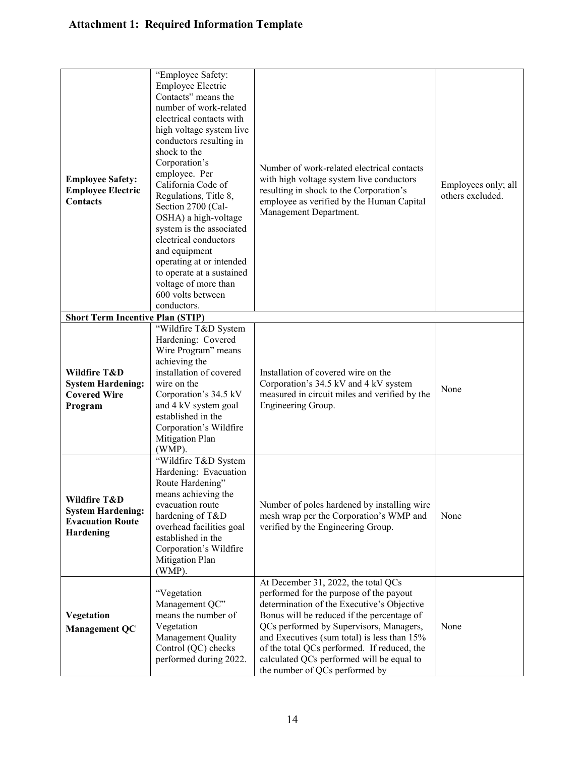| <b>Employee Safety:</b><br><b>Employee Electric</b><br><b>Contacts</b><br><b>Short Term Incentive Plan (STIP)</b> | "Employee Safety:<br>Employee Electric<br>Contacts" means the<br>number of work-related<br>electrical contacts with<br>high voltage system live<br>conductors resulting in<br>shock to the<br>Corporation's<br>employee. Per<br>California Code of<br>Regulations, Title 8,<br>Section 2700 (Cal-<br>OSHA) a high-voltage<br>system is the associated<br>electrical conductors<br>and equipment<br>operating at or intended<br>to operate at a sustained<br>voltage of more than<br>600 volts between<br>conductors. | Number of work-related electrical contacts<br>with high voltage system live conductors<br>resulting in shock to the Corporation's<br>employee as verified by the Human Capital<br>Management Department.                                                                                                                                                                                           | Employees only; all<br>others excluded. |
|-------------------------------------------------------------------------------------------------------------------|----------------------------------------------------------------------------------------------------------------------------------------------------------------------------------------------------------------------------------------------------------------------------------------------------------------------------------------------------------------------------------------------------------------------------------------------------------------------------------------------------------------------|----------------------------------------------------------------------------------------------------------------------------------------------------------------------------------------------------------------------------------------------------------------------------------------------------------------------------------------------------------------------------------------------------|-----------------------------------------|
|                                                                                                                   | "Wildfire T&D System                                                                                                                                                                                                                                                                                                                                                                                                                                                                                                 |                                                                                                                                                                                                                                                                                                                                                                                                    |                                         |
| Wildfire T&D<br><b>System Hardening:</b><br><b>Covered Wire</b><br>Program                                        | Hardening: Covered<br>Wire Program" means<br>achieving the<br>installation of covered<br>wire on the<br>Corporation's 34.5 kV<br>and 4 kV system goal<br>established in the<br>Corporation's Wildfire<br>Mitigation Plan<br>(WMP).                                                                                                                                                                                                                                                                                   | Installation of covered wire on the<br>Corporation's 34.5 kV and 4 kV system<br>measured in circuit miles and verified by the<br>Engineering Group.                                                                                                                                                                                                                                                | None                                    |
| Wildfire T&D<br><b>System Hardening:</b><br><b>Evacuation Route</b><br>Hardening                                  | "Wildfire T&D System<br>Hardening: Evacuation<br>Route Hardening"<br>means achieving the<br>evacuation route<br>hardening of T&D<br>overhead facilities goal<br>established in the<br>Corporation's Wildfire<br>Mitigation Plan<br>(WMP).                                                                                                                                                                                                                                                                            | Number of poles hardened by installing wire<br>mesh wrap per the Corporation's WMP and<br>verified by the Engineering Group.                                                                                                                                                                                                                                                                       | None                                    |
| Vegetation<br><b>Management QC</b>                                                                                | "Vegetation<br>Management QC"<br>means the number of<br>Vegetation<br>Management Quality<br>Control (QC) checks<br>performed during 2022.                                                                                                                                                                                                                                                                                                                                                                            | At December 31, 2022, the total QCs<br>performed for the purpose of the payout<br>determination of the Executive's Objective<br>Bonus will be reduced if the percentage of<br>QCs performed by Supervisors, Managers,<br>and Executives (sum total) is less than 15%<br>of the total QCs performed. If reduced, the<br>calculated QCs performed will be equal to<br>the number of QCs performed by | None                                    |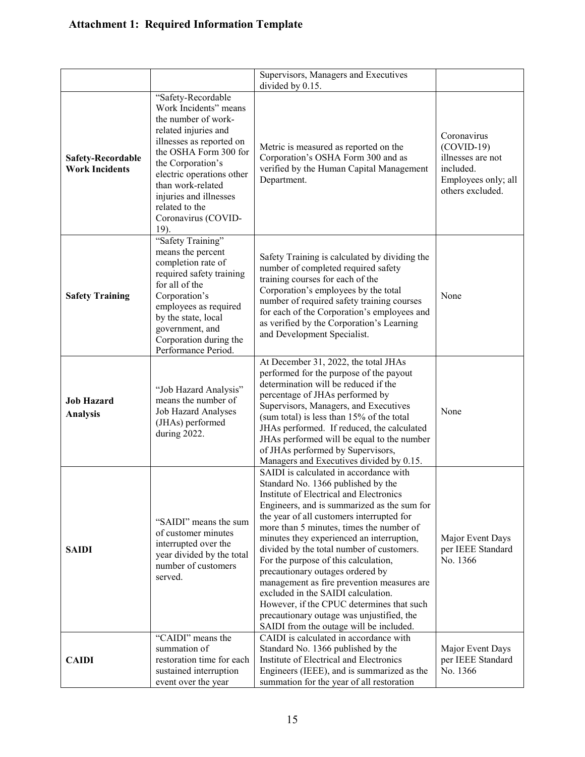|                                                   |                                                                                                                                                                                                                                                                                                   | Supervisors, Managers and Executives                                                                                                                                                                                                                                                                                                                                                                                                                                                                                                                                                                                                                           |                                                                                                          |
|---------------------------------------------------|---------------------------------------------------------------------------------------------------------------------------------------------------------------------------------------------------------------------------------------------------------------------------------------------------|----------------------------------------------------------------------------------------------------------------------------------------------------------------------------------------------------------------------------------------------------------------------------------------------------------------------------------------------------------------------------------------------------------------------------------------------------------------------------------------------------------------------------------------------------------------------------------------------------------------------------------------------------------------|----------------------------------------------------------------------------------------------------------|
| <b>Safety-Recordable</b><br><b>Work Incidents</b> | "Safety-Recordable<br>Work Incidents" means<br>the number of work-<br>related injuries and<br>illnesses as reported on<br>the OSHA Form 300 for<br>the Corporation's<br>electric operations other<br>than work-related<br>injuries and illnesses<br>related to the<br>Coronavirus (COVID-<br>19). | divided by 0.15.<br>Metric is measured as reported on the<br>Corporation's OSHA Form 300 and as<br>verified by the Human Capital Management<br>Department.                                                                                                                                                                                                                                                                                                                                                                                                                                                                                                     | Coronavirus<br>$(COVID-19)$<br>illnesses are not<br>included.<br>Employees only; all<br>others excluded. |
| <b>Safety Training</b>                            | "Safety Training"<br>means the percent<br>completion rate of<br>required safety training<br>for all of the<br>Corporation's<br>employees as required<br>by the state, local<br>government, and<br>Corporation during the<br>Performance Period.                                                   | Safety Training is calculated by dividing the<br>number of completed required safety<br>training courses for each of the<br>Corporation's employees by the total<br>number of required safety training courses<br>for each of the Corporation's employees and<br>as verified by the Corporation's Learning<br>and Development Specialist.                                                                                                                                                                                                                                                                                                                      | None                                                                                                     |
| <b>Job Hazard</b><br><b>Analysis</b>              | "Job Hazard Analysis"<br>means the number of<br>Job Hazard Analyses<br>(JHAs) performed<br>during 2022.                                                                                                                                                                                           | At December 31, 2022, the total JHAs<br>performed for the purpose of the payout<br>determination will be reduced if the<br>percentage of JHAs performed by<br>Supervisors, Managers, and Executives<br>(sum total) is less than 15% of the total<br>JHAs performed. If reduced, the calculated<br>JHAs performed will be equal to the number<br>of JHAs performed by Supervisors,<br>Managers and Executives divided by 0.15.                                                                                                                                                                                                                                  | None                                                                                                     |
| <b>SAIDI</b>                                      | "SAIDI" means the sum<br>of customer minutes<br>interrupted over the<br>year divided by the total<br>number of customers<br>served.                                                                                                                                                               | SAIDI is calculated in accordance with<br>Standard No. 1366 published by the<br>Institute of Electrical and Electronics<br>Engineers, and is summarized as the sum for<br>the year of all customers interrupted for<br>more than 5 minutes, times the number of<br>minutes they experienced an interruption,<br>divided by the total number of customers.<br>For the purpose of this calculation,<br>precautionary outages ordered by<br>management as fire prevention measures are<br>excluded in the SAIDI calculation.<br>However, if the CPUC determines that such<br>precautionary outage was unjustified, the<br>SAIDI from the outage will be included. | Major Event Days<br>per IEEE Standard<br>No. 1366                                                        |
| <b>CAIDI</b>                                      | "CAIDI" means the<br>summation of<br>restoration time for each<br>sustained interruption<br>event over the year                                                                                                                                                                                   | CAIDI is calculated in accordance with<br>Standard No. 1366 published by the<br>Institute of Electrical and Electronics<br>Engineers (IEEE), and is summarized as the<br>summation for the year of all restoration                                                                                                                                                                                                                                                                                                                                                                                                                                             | Major Event Days<br>per IEEE Standard<br>No. 1366                                                        |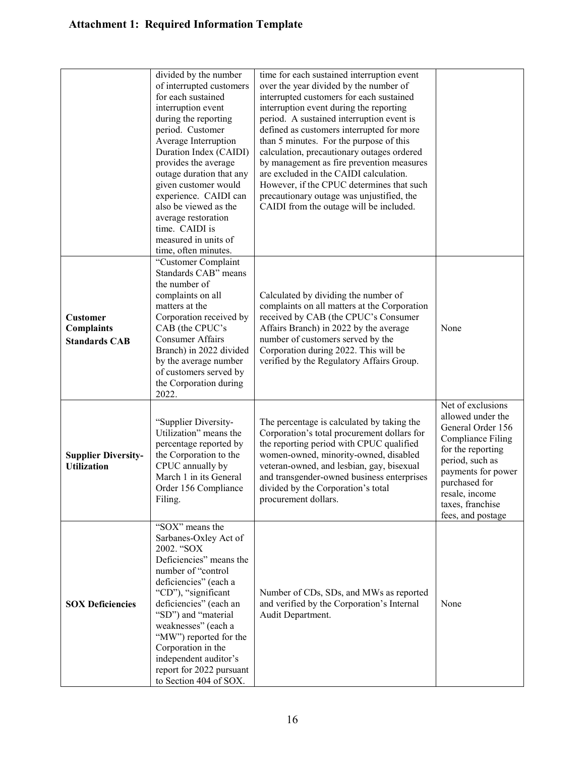|                                                              | divided by the number<br>of interrupted customers<br>for each sustained<br>interruption event<br>during the reporting<br>period. Customer<br>Average Interruption<br>Duration Index (CAIDI)<br>provides the average<br>outage duration that any<br>given customer would<br>experience. CAIDI can<br>also be viewed as the<br>average restoration<br>time. CAIDI is<br>measured in units of<br>time, often minutes. | time for each sustained interruption event<br>over the year divided by the number of<br>interrupted customers for each sustained<br>interruption event during the reporting<br>period. A sustained interruption event is<br>defined as customers interrupted for more<br>than 5 minutes. For the purpose of this<br>calculation, precautionary outages ordered<br>by management as fire prevention measures<br>are excluded in the CAIDI calculation.<br>However, if the CPUC determines that such<br>precautionary outage was unjustified, the<br>CAIDI from the outage will be included. |                                                                                                                                                                                                                                   |
|--------------------------------------------------------------|--------------------------------------------------------------------------------------------------------------------------------------------------------------------------------------------------------------------------------------------------------------------------------------------------------------------------------------------------------------------------------------------------------------------|--------------------------------------------------------------------------------------------------------------------------------------------------------------------------------------------------------------------------------------------------------------------------------------------------------------------------------------------------------------------------------------------------------------------------------------------------------------------------------------------------------------------------------------------------------------------------------------------|-----------------------------------------------------------------------------------------------------------------------------------------------------------------------------------------------------------------------------------|
| <b>Customer</b><br><b>Complaints</b><br><b>Standards CAB</b> | "Customer Complaint<br>Standards CAB" means<br>the number of<br>complaints on all<br>matters at the<br>Corporation received by<br>CAB (the CPUC's<br><b>Consumer Affairs</b><br>Branch) in 2022 divided<br>by the average number<br>of customers served by<br>the Corporation during<br>2022.                                                                                                                      | Calculated by dividing the number of<br>complaints on all matters at the Corporation<br>received by CAB (the CPUC's Consumer<br>Affairs Branch) in 2022 by the average<br>number of customers served by the<br>Corporation during 2022. This will be<br>verified by the Regulatory Affairs Group.                                                                                                                                                                                                                                                                                          | None                                                                                                                                                                                                                              |
| <b>Supplier Diversity-</b><br><b>Utilization</b>             | "Supplier Diversity-<br>Utilization" means the<br>percentage reported by<br>the Corporation to the<br>CPUC annually by<br>March 1 in its General<br>Order 156 Compliance<br>Filing.                                                                                                                                                                                                                                | The percentage is calculated by taking the<br>Corporation's total procurement dollars for<br>the reporting period with CPUC qualified<br>women-owned, minority-owned, disabled<br>veteran-owned, and lesbian, gay, bisexual<br>and transgender-owned business enterprises<br>divided by the Corporation's total<br>procurement dollars.                                                                                                                                                                                                                                                    | Net of exclusions<br>allowed under the<br>General Order 156<br><b>Compliance Filing</b><br>for the reporting<br>period, such as<br>payments for power<br>purchased for<br>resale, income<br>taxes, franchise<br>fees, and postage |
| <b>SOX Deficiencies</b>                                      | "SOX" means the<br>Sarbanes-Oxley Act of<br>2002. "SOX<br>Deficiencies" means the<br>number of "control<br>deficiencies" (each a<br>"CD"), "significant<br>deficiencies" (each an<br>"SD") and "material<br>weaknesses" (each a<br>"MW") reported for the<br>Corporation in the<br>independent auditor's<br>report for 2022 pursuant<br>to Section 404 of SOX.                                                     | Number of CDs, SDs, and MWs as reported<br>and verified by the Corporation's Internal<br>Audit Department.                                                                                                                                                                                                                                                                                                                                                                                                                                                                                 | None                                                                                                                                                                                                                              |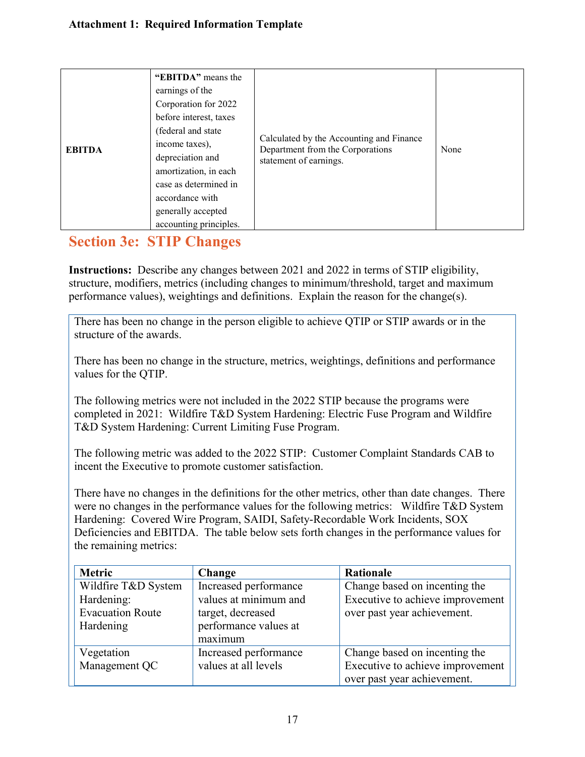## **Section 3e: STIP Changes**

**Instructions:** Describe any changes between 2021 and 2022 in terms of STIP eligibility, structure, modifiers, metrics (including changes to minimum/threshold, target and maximum performance values), weightings and definitions. Explain the reason for the change(s).

There has been no change in the person eligible to achieve QTIP or STIP awards or in the structure of the awards.

There has been no change in the structure, metrics, weightings, definitions and performance values for the QTIP.

The following metrics were not included in the 2022 STIP because the programs were completed in 2021: Wildfire T&D System Hardening: Electric Fuse Program and Wildfire T&D System Hardening: Current Limiting Fuse Program.

The following metric was added to the 2022 STIP: Customer Complaint Standards CAB to incent the Executive to promote customer satisfaction.

There have no changes in the definitions for the other metrics, other than date changes. There were no changes in the performance values for the following metrics: Wildfire T&D System Hardening: Covered Wire Program, SAIDI, Safety-Recordable Work Incidents, SOX Deficiencies and EBITDA. The table below sets forth changes in the performance values for the remaining metrics:

| <b>Metric</b>           | Change                | Rationale                        |
|-------------------------|-----------------------|----------------------------------|
| Wildfire T&D System     | Increased performance | Change based on incenting the    |
| Hardening:              | values at minimum and | Executive to achieve improvement |
| <b>Evacuation Route</b> | target, decreased     | over past year achievement.      |
| Hardening               | performance values at |                                  |
|                         | maximum               |                                  |
| Vegetation              | Increased performance | Change based on incenting the    |
| Management QC           | values at all levels  | Executive to achieve improvement |
|                         |                       | over past year achievement.      |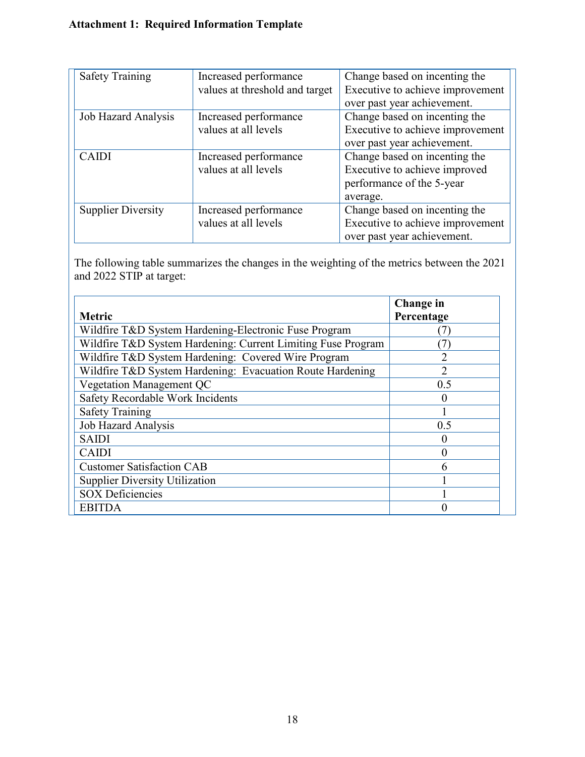| <b>Safety Training</b>    | Increased performance          | Change based on incenting the    |
|---------------------------|--------------------------------|----------------------------------|
|                           | values at threshold and target | Executive to achieve improvement |
|                           |                                | over past year achievement.      |
| Job Hazard Analysis       | Increased performance          | Change based on incenting the    |
|                           | values at all levels           | Executive to achieve improvement |
|                           |                                | over past year achievement.      |
| <b>CAIDI</b>              | Increased performance          | Change based on incenting the    |
|                           | values at all levels           | Executive to achieve improved    |
|                           |                                | performance of the 5-year        |
|                           |                                | average.                         |
| <b>Supplier Diversity</b> | Increased performance          | Change based on incenting the    |
|                           | values at all levels           | Executive to achieve improvement |
|                           |                                | over past year achievement.      |

The following table summarizes the changes in the weighting of the metrics between the 2021 and 2022 STIP at target:

|                                                              | Change in  |
|--------------------------------------------------------------|------------|
| <b>Metric</b>                                                | Percentage |
| Wildfire T&D System Hardening-Electronic Fuse Program        |            |
| Wildfire T&D System Hardening: Current Limiting Fuse Program |            |
| Wildfire T&D System Hardening: Covered Wire Program          | າ          |
| Wildfire T&D System Hardening: Evacuation Route Hardening    | 2          |
| Vegetation Management QC                                     | 0.5        |
| Safety Recordable Work Incidents                             |            |
| <b>Safety Training</b>                                       |            |
| Job Hazard Analysis                                          | 0.5        |
| <b>SAIDI</b>                                                 |            |
| <b>CAIDI</b>                                                 |            |
| <b>Customer Satisfaction CAB</b>                             | h          |
| <b>Supplier Diversity Utilization</b>                        |            |
| <b>SOX</b> Deficiencies                                      |            |
| <b>EBITDA</b>                                                |            |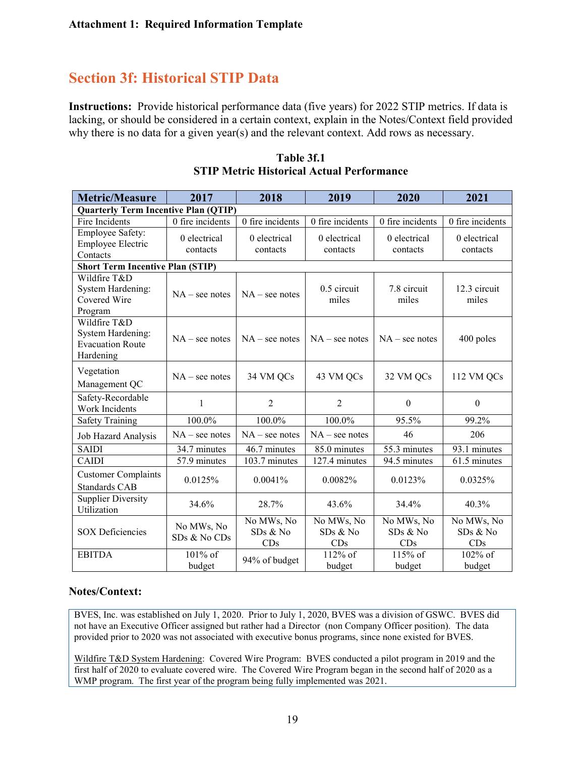## **Section 3f: Historical STIP Data**

**Instructions:** Provide historical performance data (five years) for 2022 STIP metrics. If data is lacking, or should be considered in a certain context, explain in the Notes/Context field provided why there is no data for a given year(s) and the relevant context. Add rows as necessary.

| <b>Metric/Measure</b>                                                            | 2017                       | 2018                          | 2019                          | 2020                          | 2021                          |
|----------------------------------------------------------------------------------|----------------------------|-------------------------------|-------------------------------|-------------------------------|-------------------------------|
| <b>Quarterly Term Incentive Plan (QTIP)</b>                                      |                            |                               |                               |                               |                               |
| Fire Incidents                                                                   | 0 fire incidents           | 0 fire incidents              | 0 fire incidents              | 0 fire incidents              | 0 fire incidents              |
| Employee Safety:<br><b>Employee Electric</b><br>Contacts                         | 0 electrical<br>contacts   | 0 electrical<br>contacts      | 0 electrical<br>contacts      | 0 electrical<br>contacts      | 0 electrical<br>contacts      |
| <b>Short Term Incentive Plan (STIP)</b>                                          |                            |                               |                               |                               |                               |
| Wildfire T&D<br>System Hardening:<br>Covered Wire<br>Program                     | $NA$ – see notes           | $NA$ – see notes              | $0.5$ circuit<br>miles        | 7.8 circuit<br>miles          | 12.3 circuit<br>miles         |
| Wildfire T&D<br><b>System Hardening:</b><br><b>Evacuation Route</b><br>Hardening | $NA$ – see notes           | $NA$ – see notes              | $NA$ – see notes              | $NA$ – see notes              | 400 poles                     |
| Vegetation<br>Management QC                                                      | $NA$ – see notes           | 34 VM QCs                     | 43 VM QCs                     | 32 VM QCs                     | 112 VM QCs                    |
| Safety-Recordable<br>Work Incidents                                              | $\mathbf{1}$               | $\overline{2}$                | $\overline{2}$                | $\boldsymbol{0}$              | $\boldsymbol{0}$              |
| <b>Safety Training</b>                                                           | 100.0%                     | 100.0%                        | 100.0%                        | 95.5%                         | 99.2%                         |
| Job Hazard Analysis                                                              | $NA$ – see notes           | $NA$ – see notes              | $NA$ – see notes              | 46                            | 206                           |
| <b>SAIDI</b>                                                                     | 34.7 minutes               | $\overline{46.7}$ minutes     | 85.0 minutes                  | 55.3 minutes                  | 93.1 minutes                  |
| <b>CAIDI</b>                                                                     | 57.9 minutes               | 103.7 minutes                 | 127.4 minutes                 | 94.5 minutes                  | 61.5 minutes                  |
| <b>Customer Complaints</b><br><b>Standards CAB</b>                               | 0.0125%                    | 0.0041%                       | 0.0082%                       | 0.0123%                       | 0.0325%                       |
| <b>Supplier Diversity</b><br>Utilization                                         | 34.6%                      | 28.7%                         | 43.6%                         | 34.4%                         | 40.3%                         |
| <b>SOX Deficiencies</b>                                                          | No MWs, No<br>SDs & No CDs | No MWs, No<br>SDs & No<br>CDs | No MWs, No<br>SDs & No<br>CDs | No MWs, No<br>SDs & No<br>CDs | No MWs, No<br>SDs & No<br>CDs |
| <b>EBITDA</b>                                                                    | 101% of<br>budget          | 94% of budget                 | $112\%$ of<br>budget          | 115% of<br>budget             | 102% of<br>budget             |

**Table 3f.1 STIP Metric Historical Actual Performance**

#### **Notes/Context:**

BVES, Inc. was established on July 1, 2020. Prior to July 1, 2020, BVES was a division of GSWC. BVES did not have an Executive Officer assigned but rather had a Director (non Company Officer position). The data provided prior to 2020 was not associated with executive bonus programs, since none existed for BVES.

Wildfire T&D System Hardening: Covered Wire Program: BVES conducted a pilot program in 2019 and the first half of 2020 to evaluate covered wire. The Covered Wire Program began in the second half of 2020 as a WMP program. The first year of the program being fully implemented was 2021.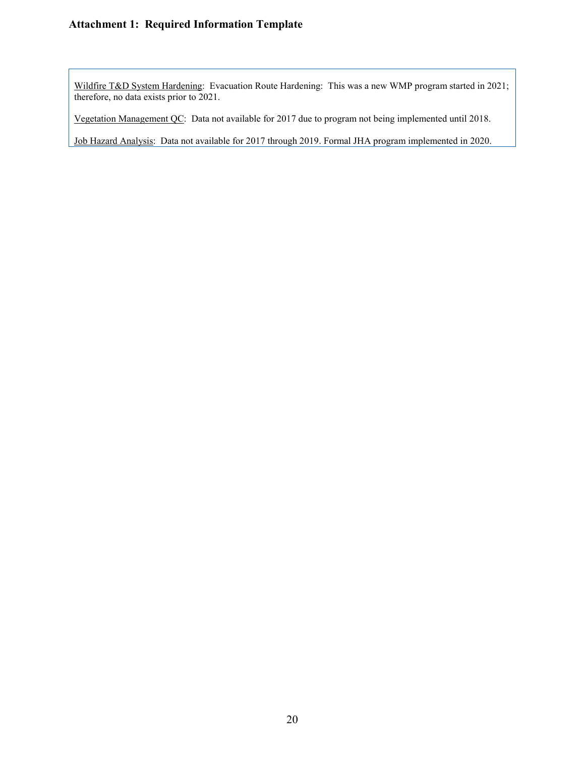Wildfire T&D System Hardening: Evacuation Route Hardening: This was a new WMP program started in 2021; therefore, no data exists prior to 2021.

Vegetation Management QC: Data not available for 2017 due to program not being implemented until 2018.

Job Hazard Analysis: Data not available for 2017 through 2019. Formal JHA program implemented in 2020.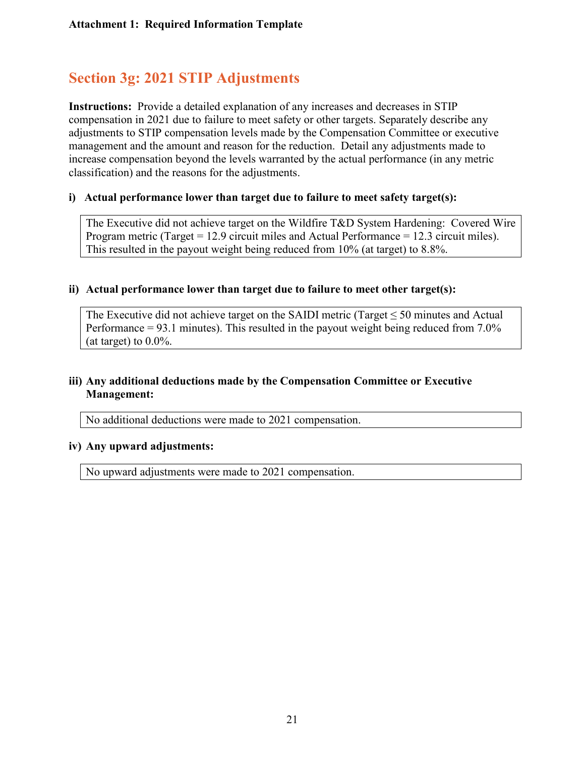## **Section 3g: 2021 STIP Adjustments**

**Instructions:** Provide a detailed explanation of any increases and decreases in STIP compensation in 2021 due to failure to meet safety or other targets. Separately describe any adjustments to STIP compensation levels made by the Compensation Committee or executive management and the amount and reason for the reduction. Detail any adjustments made to increase compensation beyond the levels warranted by the actual performance (in any metric classification) and the reasons for the adjustments.

#### **i) Actual performance lower than target due to failure to meet safety target(s):**

The Executive did not achieve target on the Wildfire T&D System Hardening: Covered Wire Program metric (Target = 12.9 circuit miles and Actual Performance = 12.3 circuit miles). This resulted in the payout weight being reduced from 10% (at target) to 8.8%.

#### **ii) Actual performance lower than target due to failure to meet other target(s):**

The Executive did not achieve target on the SAIDI metric (Target  $\leq$  50 minutes and Actual Performance  $= 93.1$  minutes). This resulted in the payout weight being reduced from  $7.0\%$ (at target) to  $0.0\%$ .

#### **iii) Any additional deductions made by the Compensation Committee or Executive Management:**

No additional deductions were made to 2021 compensation.

#### **iv) Any upward adjustments:**

No upward adjustments were made to 2021 compensation.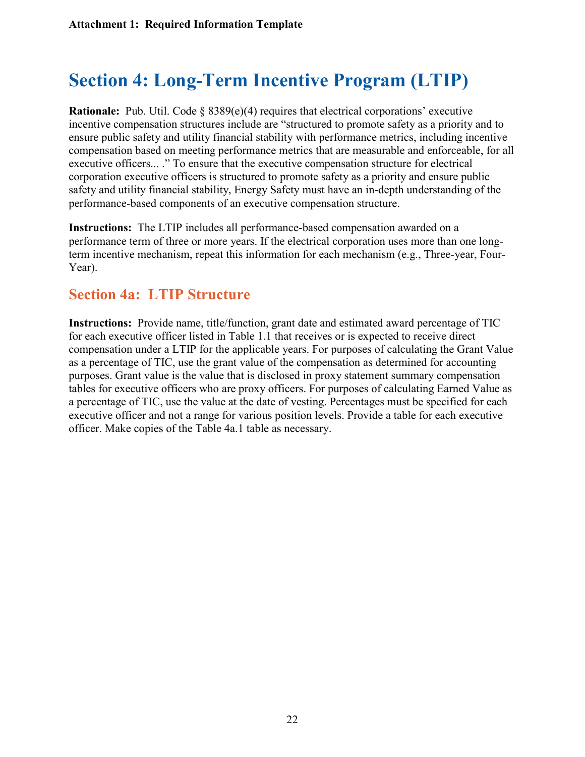# **Section 4: Long-Term Incentive Program (LTIP)**

**Rationale:** Pub. Util. Code § 8389(e)(4) requires that electrical corporations' executive incentive compensation structures include are "structured to promote safety as a priority and to ensure public safety and utility financial stability with performance metrics, including incentive compensation based on meeting performance metrics that are measurable and enforceable, for all executive officers... ." To ensure that the executive compensation structure for electrical corporation executive officers is structured to promote safety as a priority and ensure public safety and utility financial stability, Energy Safety must have an in-depth understanding of the performance-based components of an executive compensation structure.

**Instructions:** The LTIP includes all performance-based compensation awarded on a performance term of three or more years. If the electrical corporation uses more than one longterm incentive mechanism, repeat this information for each mechanism (e.g., Three-year, Four-Year).

### **Section 4a: LTIP Structure**

**Instructions:** Provide name, title/function, grant date and estimated award percentage of TIC for each executive officer listed in Table 1.1 that receives or is expected to receive direct compensation under a LTIP for the applicable years. For purposes of calculating the Grant Value as a percentage of TIC, use the grant value of the compensation as determined for accounting purposes. Grant value is the value that is disclosed in proxy statement summary compensation tables for executive officers who are proxy officers. For purposes of calculating Earned Value as a percentage of TIC, use the value at the date of vesting. Percentages must be specified for each executive officer and not a range for various position levels. Provide a table for each executive officer. Make copies of the Table 4a.1 table as necessary.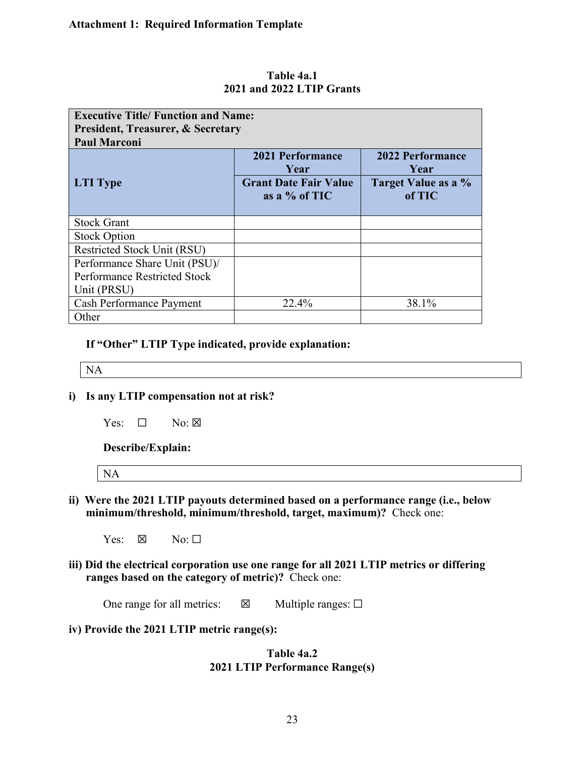| <b>Executive Title/ Function and Name:</b><br><b>President, Treasurer, &amp; Secretary</b><br><b>Paul Marconi</b> |                                                 |                                 |
|-------------------------------------------------------------------------------------------------------------------|-------------------------------------------------|---------------------------------|
|                                                                                                                   | <b>2021 Performance</b><br>Year                 | <b>2022 Performance</b><br>Year |
| <b>LTI</b> Type                                                                                                   | <b>Grant Date Fair Value</b><br>as a $%$ of TIC | Target Value as a %<br>of TIC   |
| <b>Stock Grant</b>                                                                                                |                                                 |                                 |
| <b>Stock Option</b>                                                                                               |                                                 |                                 |
| <b>Restricted Stock Unit (RSU)</b>                                                                                |                                                 |                                 |
| Performance Share Unit (PSU)/                                                                                     |                                                 |                                 |
| <b>Performance Restricted Stock</b>                                                                               |                                                 |                                 |
| Unit (PRSU)                                                                                                       |                                                 |                                 |
| <b>Cash Performance Payment</b>                                                                                   | 22.4%                                           | 38.1%                           |
| Other                                                                                                             |                                                 |                                 |

**Table 4a.1 2021 and 2022 LTIP Grants**

**If "Other" LTIP Type indicated, provide explanation:**

NA

- **i) Is any LTIP compensation not at risk?**
	- $Yes: \Box \qquad No: \boxtimes$

**Describe/Explain:** 

| <b>NA</b> |  |  |  |
|-----------|--|--|--|
|           |  |  |  |

**ii) Were the 2021 LTIP payouts determined based on a performance range (i.e., below minimum/threshold, minimum/threshold, target, maximum)?** Check one:

Yes:  $\boxtimes$  No:  $\square$ 

**iii) Did the electrical corporation use one range for all 2021 LTIP metrics or differing ranges based on the category of metric)?** Check one:

One range for all metrics:  $\boxtimes$  Multiple ranges:  $\Box$ 

**iv) Provide the 2021 LTIP metric range(s):**

#### **Table 4a.2 2021 LTIP Performance Range(s)**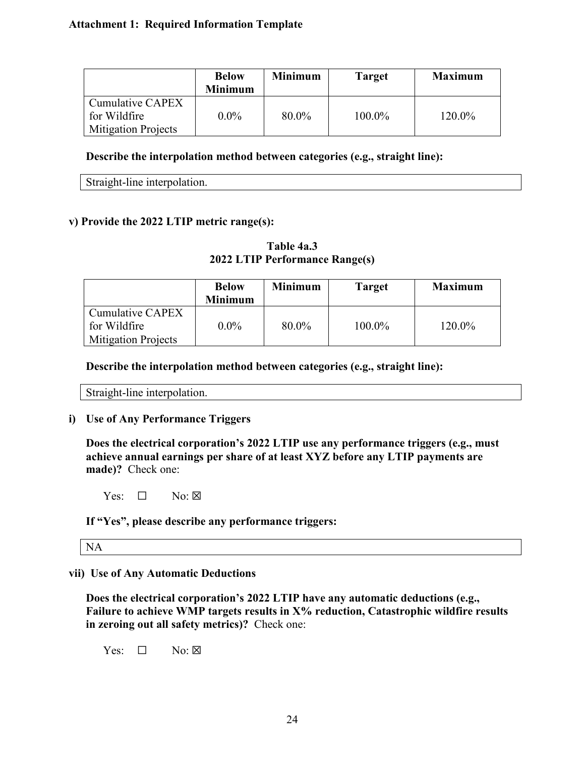|                                  | <b>Below</b><br><b>Minimum</b> | Minimum | <b>Target</b> | <b>Maximum</b> |
|----------------------------------|--------------------------------|---------|---------------|----------------|
| Cumulative CAPEX<br>for Wildfire | $0.0\%$                        | 80.0%   | 100.0%        | 120.0%         |
| <b>Mitigation Projects</b>       |                                |         |               |                |

#### **Describe the interpolation method between categories (e.g., straight line):**

Straight-line interpolation.

#### **v) Provide the 2022 LTIP metric range(s):**

**Table 4a.3 2022 LTIP Performance Range(s)**

|                                                                | <b>Below</b><br><b>Minimum</b> | <b>Minimum</b> | <b>Target</b> | <b>Maximum</b> |
|----------------------------------------------------------------|--------------------------------|----------------|---------------|----------------|
| Cumulative CAPEX<br>for Wildfire<br><b>Mitigation Projects</b> | $0.0\%$                        | 80.0%          | 100.0%        | 120.0%         |

**Describe the interpolation method between categories (e.g., straight line):**

Straight-line interpolation.

#### **i) Use of Any Performance Triggers**

**Does the electrical corporation's 2022 LTIP use any performance triggers (e.g., must achieve annual earnings per share of at least XYZ before any LTIP payments are made)?** Check one:

 $Yes: \Box \qquad No: \boxtimes$ 

**If "Yes", please describe any performance triggers:** 

NA

#### **vii) Use of Any Automatic Deductions**

**Does the electrical corporation's 2022 LTIP have any automatic deductions (e.g.,**  Failure to achieve WMP targets results in X<sup>9</sup>% reduction, Catastrophic wildfire results **in zeroing out all safety metrics)?** Check one:

Yes:  $\Box$  No:  $\boxtimes$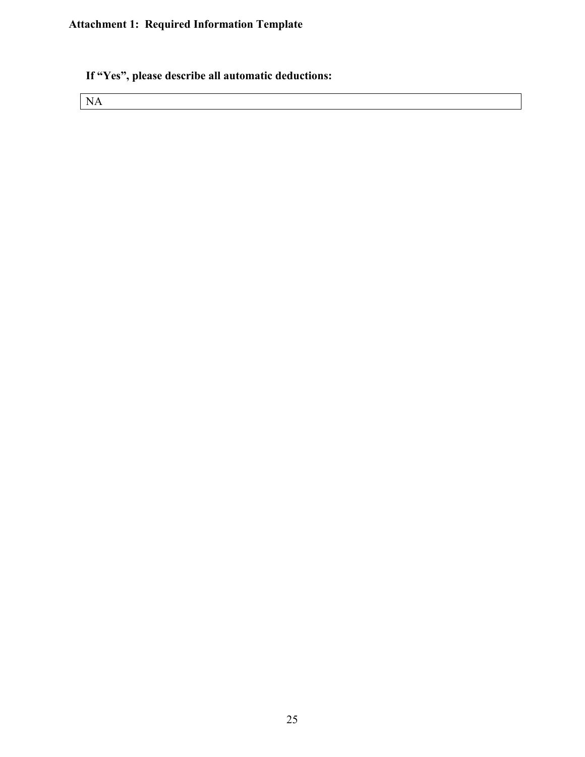### **If "Yes", please describe all automatic deductions:**

NA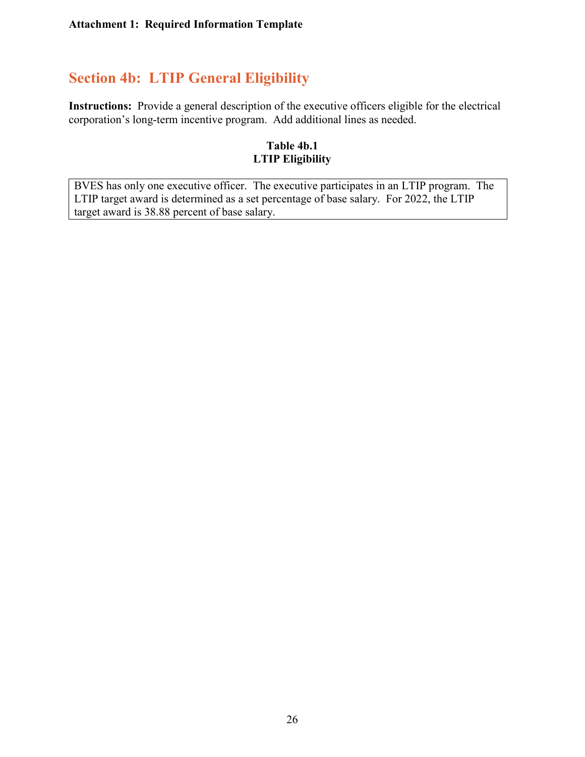## **Section 4b: LTIP General Eligibility**

**Instructions:** Provide a general description of the executive officers eligible for the electrical corporation's long-term incentive program. Add additional lines as needed.

#### **Table 4b.1 LTIP Eligibility**

BVES has only one executive officer. The executive participates in an LTIP program. The LTIP target award is determined as a set percentage of base salary. For 2022, the LTIP target award is 38.88 percent of base salary.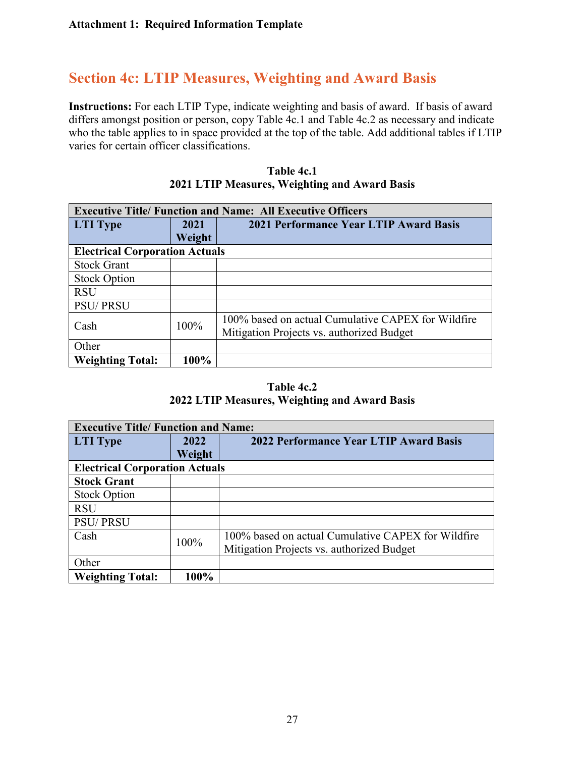## **Section 4c: LTIP Measures, Weighting and Award Basis**

**Instructions:** For each LTIP Type, indicate weighting and basis of award. If basis of award differs amongst position or person, copy Table 4c.1 and Table 4c.2 as necessary and indicate who the table applies to in space provided at the top of the table. Add additional tables if LTIP varies for certain officer classifications.

|                                       | <b>Executive Title/ Function and Name: All Executive Officers</b> |                                                    |  |  |  |  |
|---------------------------------------|-------------------------------------------------------------------|----------------------------------------------------|--|--|--|--|
| <b>LTI</b> Type                       | 2021                                                              | <b>2021 Performance Year LTIP Award Basis</b>      |  |  |  |  |
|                                       | Weight                                                            |                                                    |  |  |  |  |
| <b>Electrical Corporation Actuals</b> |                                                                   |                                                    |  |  |  |  |
| <b>Stock Grant</b>                    |                                                                   |                                                    |  |  |  |  |
| <b>Stock Option</b>                   |                                                                   |                                                    |  |  |  |  |
| <b>RSU</b>                            |                                                                   |                                                    |  |  |  |  |
| <b>PSU/PRSU</b>                       |                                                                   |                                                    |  |  |  |  |
| Cash                                  | 100%                                                              | 100% based on actual Cumulative CAPEX for Wildfire |  |  |  |  |
|                                       |                                                                   | Mitigation Projects vs. authorized Budget          |  |  |  |  |
| Other                                 |                                                                   |                                                    |  |  |  |  |
| <b>Weighting Total:</b>               | 100%                                                              |                                                    |  |  |  |  |

| Table 4c.1 |                                               |  |  |  |
|------------|-----------------------------------------------|--|--|--|
|            | 2021 LTIP Measures, Weighting and Award Basis |  |  |  |

#### **Table 4c.2 2022 LTIP Measures, Weighting and Award Basis**

|                                       | <b>Executive Title/ Function and Name:</b> |                                                    |  |  |  |  |
|---------------------------------------|--------------------------------------------|----------------------------------------------------|--|--|--|--|
| <b>LTI</b> Type                       | 2022                                       | 2022 Performance Year LTIP Award Basis             |  |  |  |  |
|                                       | Weight                                     |                                                    |  |  |  |  |
| <b>Electrical Corporation Actuals</b> |                                            |                                                    |  |  |  |  |
| <b>Stock Grant</b>                    |                                            |                                                    |  |  |  |  |
| <b>Stock Option</b>                   |                                            |                                                    |  |  |  |  |
| <b>RSU</b>                            |                                            |                                                    |  |  |  |  |
| <b>PSU/PRSU</b>                       |                                            |                                                    |  |  |  |  |
| Cash                                  | 100%                                       | 100% based on actual Cumulative CAPEX for Wildfire |  |  |  |  |
|                                       |                                            | Mitigation Projects vs. authorized Budget          |  |  |  |  |
| Other                                 |                                            |                                                    |  |  |  |  |
| <b>Weighting Total:</b>               | 100%                                       |                                                    |  |  |  |  |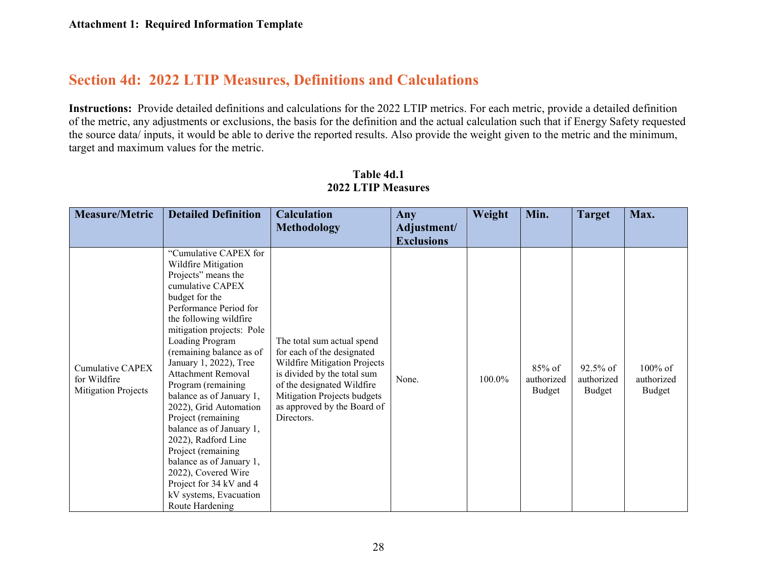## **Section 4d: 2022 LTIP Measures, Definitions and Calculations**

**Instructions:** Provide detailed definitions and calculations for the 2022 LTIP metrics. For each metric, provide a detailed definition of the metric, any adjustments or exclusions, the basis for the definition and the actual calculation such that if Energy Safety requested the source data/ inputs, it would be able to derive the reported results. Also provide the weight given to the metric and the minimum, target and maximum values for the metric.

| <b>Measure/Metric</b>                                          | <b>Detailed Definition</b>                                                                                                                                                                                                                                                                                                                                                                                                                                                                                                                                                                      | <b>Calculation</b>                                                                                                                                                                                                                | Any                              | Weight | Min.                           | <b>Target</b>                       | Max.                               |
|----------------------------------------------------------------|-------------------------------------------------------------------------------------------------------------------------------------------------------------------------------------------------------------------------------------------------------------------------------------------------------------------------------------------------------------------------------------------------------------------------------------------------------------------------------------------------------------------------------------------------------------------------------------------------|-----------------------------------------------------------------------------------------------------------------------------------------------------------------------------------------------------------------------------------|----------------------------------|--------|--------------------------------|-------------------------------------|------------------------------------|
|                                                                |                                                                                                                                                                                                                                                                                                                                                                                                                                                                                                                                                                                                 | <b>Methodology</b>                                                                                                                                                                                                                | Adjustment/<br><b>Exclusions</b> |        |                                |                                     |                                    |
| Cumulative CAPEX<br>for Wildfire<br><b>Mitigation Projects</b> | "Cumulative CAPEX for<br>Wildfire Mitigation<br>Projects" means the<br>cumulative CAPEX<br>budget for the<br>Performance Period for<br>the following wildfire<br>mitigation projects: Pole<br>Loading Program<br>(remaining balance as of<br>January 1, 2022), Tree<br>Attachment Removal<br>Program (remaining<br>balance as of January 1,<br>2022), Grid Automation<br>Project (remaining<br>balance as of January 1,<br>2022), Radford Line<br>Project (remaining<br>balance as of January 1,<br>2022), Covered Wire<br>Project for 34 kV and 4<br>kV systems, Evacuation<br>Route Hardening | The total sum actual spend<br>for each of the designated<br>Wildfire Mitigation Projects<br>is divided by the total sum<br>of the designated Wildfire<br>Mitigation Projects budgets<br>as approved by the Board of<br>Directors. | None.                            | 100.0% | 85% of<br>authorized<br>Budget | $92.5\%$ of<br>authorized<br>Budget | $100\%$ of<br>authorized<br>Budget |

#### **Table 4d.1 2022 LTIP Measures**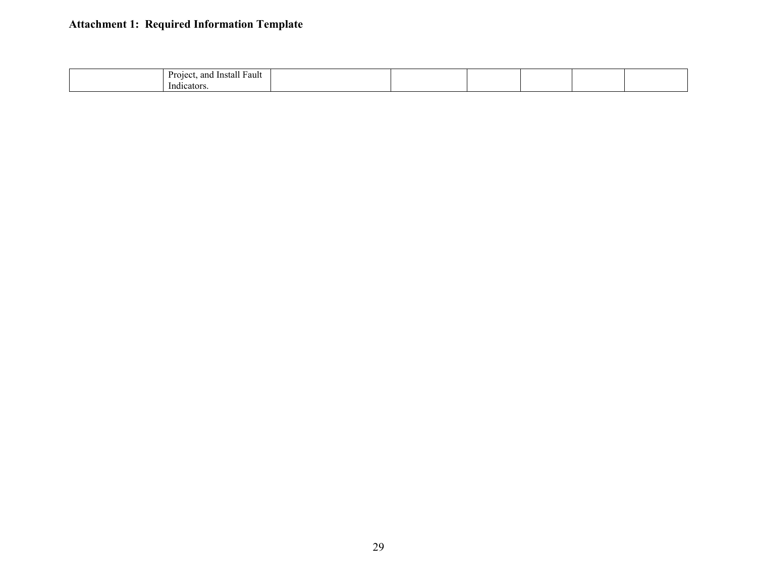| Fault<br>anc<br>-Instal.<br>Projec |  |  |  |
|------------------------------------|--|--|--|
| . .<br>Indi<br>1cator              |  |  |  |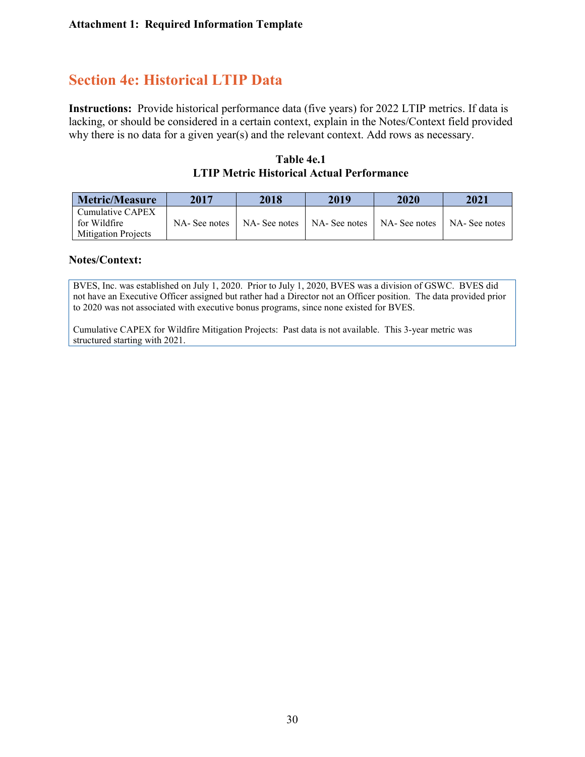## **Section 4e: Historical LTIP Data**

**Instructions:** Provide historical performance data (five years) for 2022 LTIP metrics. If data is lacking, or should be considered in a certain context, explain in the Notes/Context field provided why there is no data for a given year(s) and the relevant context. Add rows as necessary.

**Table 4e.1 LTIP Metric Historical Actual Performance**

| <b>Metric/Measure</b>                                                         | 2017         | 2018          | 2019          | 2020          | 2021         |
|-------------------------------------------------------------------------------|--------------|---------------|---------------|---------------|--------------|
| $\blacksquare$ Cumulative CAPEX<br>for Wildfire<br><b>Mitigation Projects</b> | NA-See notes | NA- See notes | NA- See notes | NA- See notes | NA-See notes |

#### **Notes/Context:**

BVES, Inc. was established on July 1, 2020. Prior to July 1, 2020, BVES was a division of GSWC. BVES did not have an Executive Officer assigned but rather had a Director not an Officer position. The data provided prior to 2020 was not associated with executive bonus programs, since none existed for BVES.

Cumulative CAPEX for Wildfire Mitigation Projects: Past data is not available. This 3-year metric was structured starting with 2021.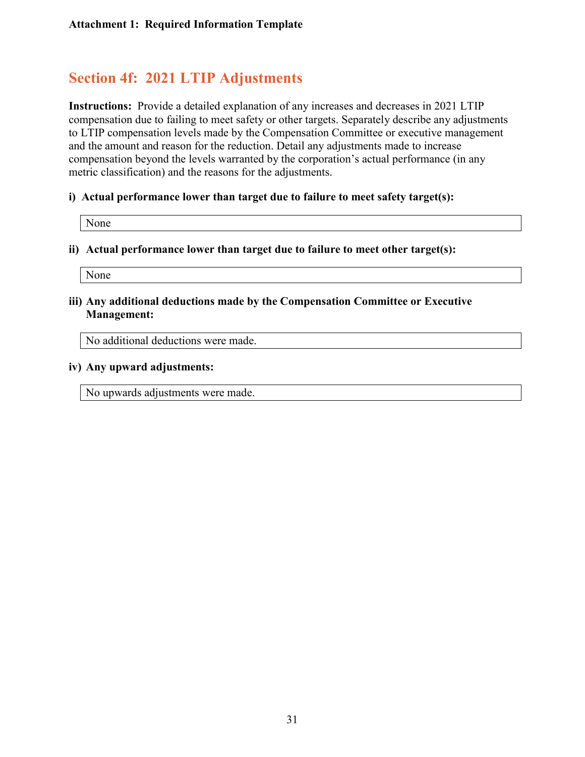## **Section 4f: 2021 LTIP Adjustments**

**Instructions:** Provide a detailed explanation of any increases and decreases in 2021 LTIP compensation due to failing to meet safety or other targets. Separately describe any adjustments to LTIP compensation levels made by the Compensation Committee or executive management and the amount and reason for the reduction. Detail any adjustments made to increase compensation beyond the levels warranted by the corporation's actual performance (in any metric classification) and the reasons for the adjustments.

#### **i) Actual performance lower than target due to failure to meet safety target(s):**

None

#### **ii) Actual performance lower than target due to failure to meet other target(s):**

None

#### **iii) Any additional deductions made by the Compensation Committee or Executive Management:**

No additional deductions were made.

#### **iv) Any upward adjustments:**

No upwards adjustments were made.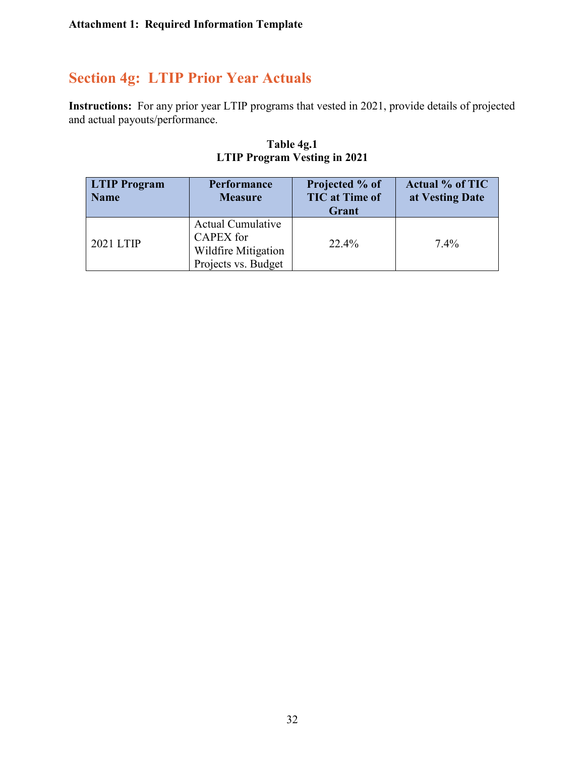## **Section 4g: LTIP Prior Year Actuals**

**Instructions:** For any prior year LTIP programs that vested in 2021, provide details of projected and actual payouts/performance.

| <b>LTIP Program</b><br><b>Name</b> | <b>Performance</b><br><b>Measure</b>                                                       | Projected % of<br><b>TIC</b> at Time of<br>Grant | <b>Actual % of TIC</b><br>at Vesting Date |
|------------------------------------|--------------------------------------------------------------------------------------------|--------------------------------------------------|-------------------------------------------|
| 2021 LTIP                          | <b>Actual Cumulative</b><br><b>CAPEX</b> for<br>Wildfire Mitigation<br>Projects vs. Budget | 22.4%                                            | $7.4\%$                                   |

#### **Table 4g.1 LTIP Program Vesting in 2021**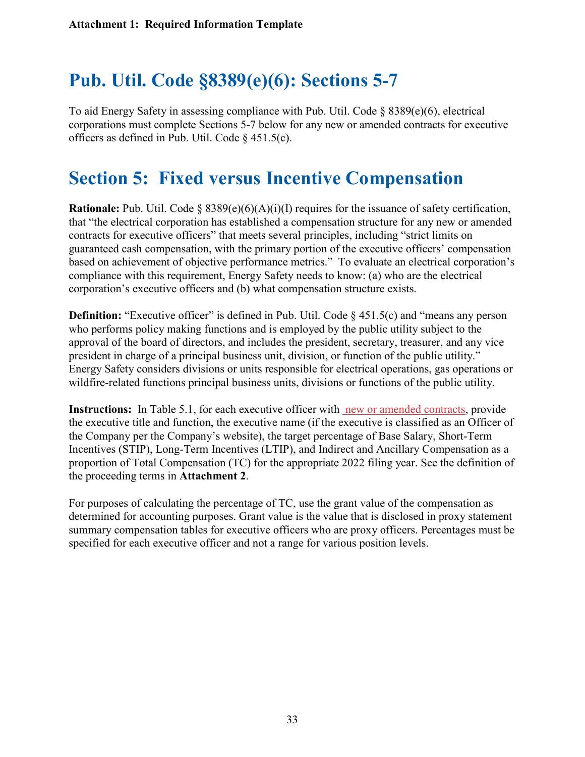# **Pub. Util. Code §8389(e)(6): Sections 5-7**

To aid Energy Safety in assessing compliance with Pub. Util. Code  $\S$  8389(e)(6), electrical corporations must complete Sections 5-7 below for any new or amended contracts for executive officers as defined in Pub. Util. Code § 451.5(c).

# **Section 5: Fixed versus Incentive Compensation**

**Rationale:** Pub. Util. Code § 8389(e)(6)(A)(i)(I) requires for the issuance of safety certification, that "the electrical corporation has established a compensation structure for any new or amended contracts for executive officers" that meets several principles, including "strict limits on guaranteed cash compensation, with the primary portion of the executive officers' compensation based on achievement of objective performance metrics." To evaluate an electrical corporation's compliance with this requirement, Energy Safety needs to know: (a) who are the electrical corporation's executive officers and (b) what compensation structure exists.

**Definition:** "Executive officer" is defined in Pub. Util. Code § 451.5(c) and "means any person who performs policy making functions and is employed by the public utility subject to the approval of the board of directors, and includes the president, secretary, treasurer, and any vice president in charge of a principal business unit, division, or function of the public utility." Energy Safety considers divisions or units responsible for electrical operations, gas operations or wildfire-related functions principal business units, divisions or functions of the public utility.

**Instructions:** In Table 5.1, for each executive officer with new or amended contracts, provide the executive title and function, the executive name (if the executive is classified as an Officer of the Company per the Company's website), the target percentage of Base Salary, Short-Term Incentives (STIP), Long-Term Incentives (LTIP), and Indirect and Ancillary Compensation as a proportion of Total Compensation (TC) for the appropriate 2022 filing year. See the definition of the proceeding terms in **Attachment 2**.

For purposes of calculating the percentage of TC, use the grant value of the compensation as determined for accounting purposes. Grant value is the value that is disclosed in proxy statement summary compensation tables for executive officers who are proxy officers. Percentages must be specified for each executive officer and not a range for various position levels.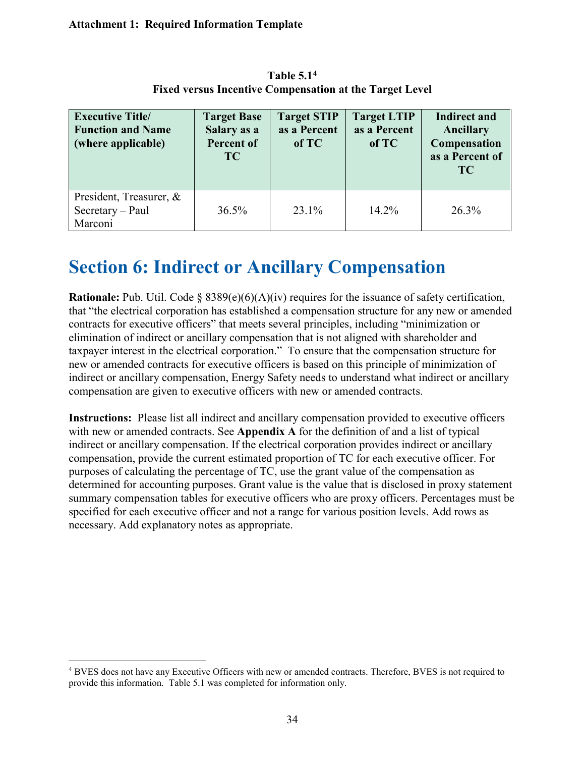| <b>Executive Title/</b><br><b>Function and Name</b><br>(where applicable) | <b>Target Base</b><br>Salary as a<br><b>Percent of</b><br><b>TC</b> | <b>Target STIP</b><br>as a Percent<br>of TC | <b>Target LTIP</b><br>as a Percent<br>of TC | <b>Indirect and</b><br>Ancillary<br>Compensation<br>as a Percent of<br><b>TC</b> |
|---------------------------------------------------------------------------|---------------------------------------------------------------------|---------------------------------------------|---------------------------------------------|----------------------------------------------------------------------------------|
| President, Treasurer, &<br>$Sercetary - Paul$<br>Marconi                  | 36.5%                                                               | $23.1\%$                                    | $14.2\%$                                    | 26.3%                                                                            |

**Table 5.1[4](#page-50-0) Fixed versus Incentive Compensation at the Target Level**

# **Section 6: Indirect or Ancillary Compensation**

**Rationale:** Pub. Util. Code § 8389(e)(6)(A)(iv) requires for the issuance of safety certification, that "the electrical corporation has established a compensation structure for any new or amended contracts for executive officers" that meets several principles, including "minimization or elimination of indirect or ancillary compensation that is not aligned with shareholder and taxpayer interest in the electrical corporation." To ensure that the compensation structure for new or amended contracts for executive officers is based on this principle of minimization of indirect or ancillary compensation, Energy Safety needs to understand what indirect or ancillary compensation are given to executive officers with new or amended contracts.

**Instructions:** Please list all indirect and ancillary compensation provided to executive officers with new or amended contracts. See **Appendix A** for the definition of and a list of typical indirect or ancillary compensation. If the electrical corporation provides indirect or ancillary compensation, provide the current estimated proportion of TC for each executive officer. For purposes of calculating the percentage of TC, use the grant value of the compensation as determined for accounting purposes. Grant value is the value that is disclosed in proxy statement summary compensation tables for executive officers who are proxy officers. Percentages must be specified for each executive officer and not a range for various position levels. Add rows as necessary. Add explanatory notes as appropriate.

<span id="page-50-0"></span><sup>4</sup> BVES does not have any Executive Officers with new or amended contracts. Therefore, BVES is not required to provide this information. Table 5.1 was completed for information only.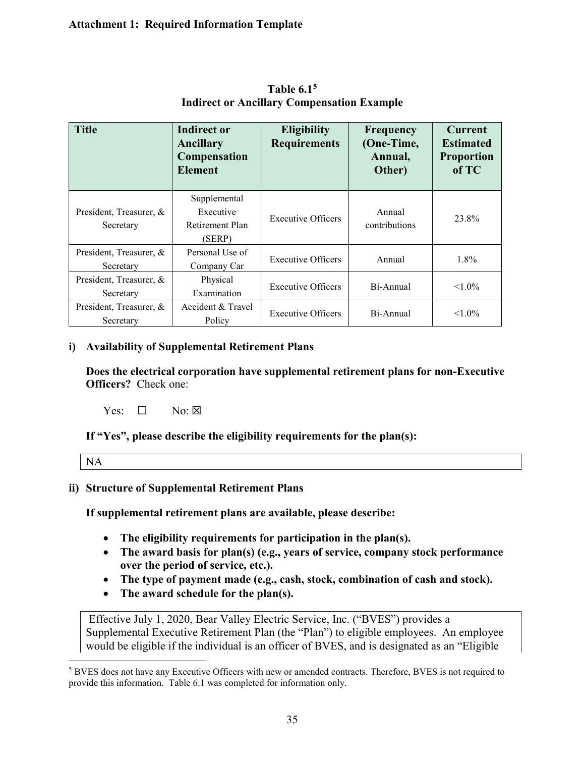| <b>Title</b>                         | <b>Indirect or</b><br>Ancillary<br>Compensation<br><b>Element</b> | <b>Eligibility</b><br><b>Requirements</b> | Frequency<br>(One-Time,<br>Annual,<br>Other) | <b>Current</b><br><b>Estimated</b><br><b>Proportion</b><br>of TC |
|--------------------------------------|-------------------------------------------------------------------|-------------------------------------------|----------------------------------------------|------------------------------------------------------------------|
| President, Treasurer, &<br>Secretary | Supplemental<br>Executive<br>Retirement Plan<br>(SERP)            | <b>Executive Officers</b>                 | Annual<br>contributions                      | 23.8%                                                            |
| President, Treasurer, &<br>Secretary | Personal Use of<br>Company Car                                    | <b>Executive Officers</b>                 | Annual                                       | $1.8\%$                                                          |
| President, Treasurer, &<br>Secretary | Physical<br>Examination                                           | <b>Executive Officers</b>                 | Bi-Annual                                    | $1.0\%$                                                          |
| President, Treasurer, &<br>Secretary | Accident & Travel<br>Policy                                       | <b>Executive Officers</b>                 | Bi-Annual                                    | $< 1.0\%$                                                        |

**Table 6.1[5](#page-51-0) Indirect or Ancillary Compensation Example**

#### **i) Availability of Supplemental Retirement Plans**

**Does the electrical corporation have supplemental retirement plans for non-Executive Officers?** Check one:

Yes:  $\Box$  No:  $\boxtimes$ 

**If "Yes", please describe the eligibility requirements for the plan(s):** 

| $\overline{\phantom{a}}$ |
|--------------------------|
|--------------------------|

#### **ii) Structure of Supplemental Retirement Plans**

**If supplemental retirement plans are available, please describe:**

- **The eligibility requirements for participation in the plan(s).**
- **The award basis for plan(s) (e.g., years of service, company stock performance over the period of service, etc.).**
- **The type of payment made (e.g., cash, stock, combination of cash and stock).**
- **The award schedule for the plan(s).**

Effective July 1, 2020, Bear Valley Electric Service, Inc. ("BVES") provides a Supplemental Executive Retirement Plan (the "Plan") to eligible employees. An employee would be eligible if the individual is an officer of BVES, and is designated as an "Eligible

<span id="page-51-0"></span><sup>5</sup> BVES does not have any Executive Officers with new or amended contracts. Therefore, BVES is not required to provide this information. Table 6.1 was completed for information only.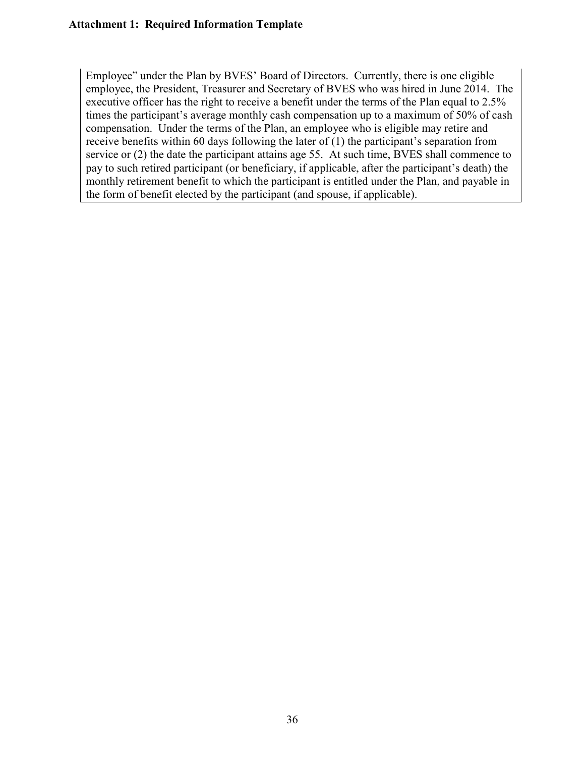Employee" under the Plan by BVES' Board of Directors. Currently, there is one eligible employee, the President, Treasurer and Secretary of BVES who was hired in June 2014. The executive officer has the right to receive a benefit under the terms of the Plan equal to 2.5% times the participant's average monthly cash compensation up to a maximum of 50% of cash compensation. Under the terms of the Plan, an employee who is eligible may retire and receive benefits within 60 days following the later of (1) the participant's separation from service or (2) the date the participant attains age 55. At such time, BVES shall commence to pay to such retired participant (or beneficiary, if applicable, after the participant's death) the monthly retirement benefit to which the participant is entitled under the Plan, and payable in the form of benefit elected by the participant (and spouse, if applicable).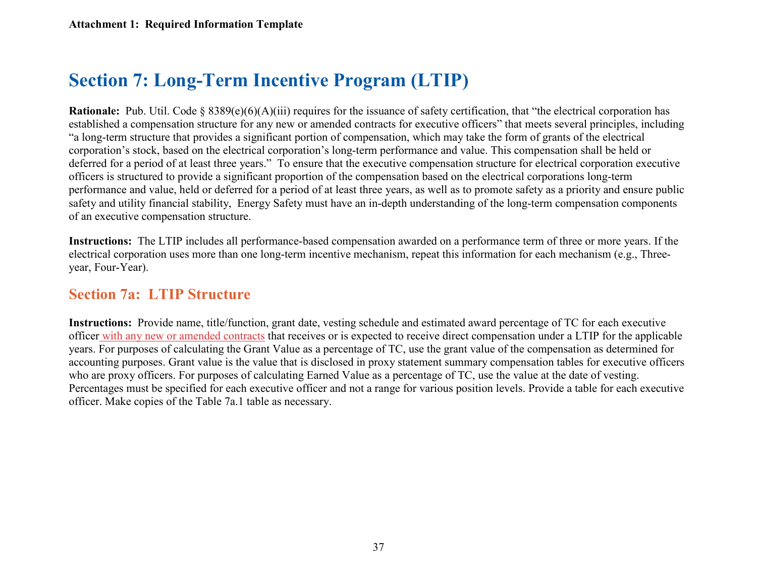# **Section 7: Long-Term Incentive Program (LTIP)**

**Rationale:** Pub. Util. Code § 8389(e)(6)(A)(iii) requires for the issuance of safety certification, that "the electrical corporation has established a compensation structure for any new or amended contracts for executive officers" that meets several principles, including "a long-term structure that provides a significant portion of compensation, which may take the form of grants of the electrical corporation's stock, based on the electrical corporation's long-term performance and value. This compensation shall be held or deferred for a period of at least three years." To ensure that the executive compensation structure for electrical corporation executive officers is structured to provide a significant proportion of the compensation based on the electrical corporations long-term performance and value, held or deferred for a period of at least three years, as well as to promote safety as a priority and ensure public safety and utility financial stability, Energy Safety must have an in-depth understanding of the long-term compensation components of an executive compensation structure.

**Instructions:** The LTIP includes all performance-based compensation awarded on a performance term of three or more years. If the electrical corporation uses more than one long-term incentive mechanism, repeat this information for each mechanism (e.g., Threeyear, Four-Year).

### **Section 7a: LTIP Structure**

**Instructions:** Provide name, title/function, grant date, vesting schedule and estimated award percentage of TC for each executive officer with any new or amended contracts that receives or is expected to receive direct compensation under a LTIP for the applicable years. For purposes of calculating the Grant Value as a percentage of TC, use the grant value of the compensation as determined for accounting purposes. Grant value is the value that is disclosed in proxy statement summary compensation tables for executive officers who are proxy officers. For purposes of calculating Earned Value as a percentage of TC, use the value at the date of vesting. Percentages must be specified for each executive officer and not a range for various position levels. Provide a table for each executive officer. Make copies of the Table 7a.1 table as necessary.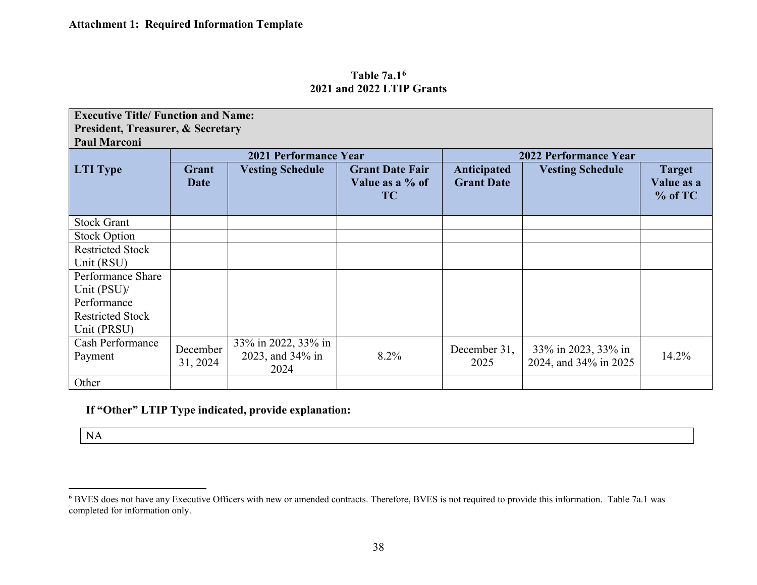<span id="page-54-0"></span>

| Table $7a.16$             |  |  |
|---------------------------|--|--|
| 2021 and 2022 LTIP Grants |  |  |

| <b>Executive Title/ Function and Name:</b>   |                      |                                                 |                                                        |                                  |                                              |                                          |
|----------------------------------------------|----------------------|-------------------------------------------------|--------------------------------------------------------|----------------------------------|----------------------------------------------|------------------------------------------|
| <b>President, Treasurer, &amp; Secretary</b> |                      |                                                 |                                                        |                                  |                                              |                                          |
| <b>Paul Marconi</b>                          |                      |                                                 |                                                        |                                  |                                              |                                          |
|                                              |                      | <b>2021 Performance Year</b>                    |                                                        |                                  | <b>2022 Performance Year</b>                 |                                          |
| <b>LTI</b> Type                              | Grant<br><b>Date</b> | <b>Vesting Schedule</b>                         | <b>Grant Date Fair</b><br>Value as a % of<br><b>TC</b> | Anticipated<br><b>Grant Date</b> | <b>Vesting Schedule</b>                      | <b>Target</b><br>Value as a<br>$%$ of TC |
| <b>Stock Grant</b>                           |                      |                                                 |                                                        |                                  |                                              |                                          |
| <b>Stock Option</b>                          |                      |                                                 |                                                        |                                  |                                              |                                          |
| <b>Restricted Stock</b>                      |                      |                                                 |                                                        |                                  |                                              |                                          |
| Unit (RSU)                                   |                      |                                                 |                                                        |                                  |                                              |                                          |
| Performance Share                            |                      |                                                 |                                                        |                                  |                                              |                                          |
| Unit (PSU)/                                  |                      |                                                 |                                                        |                                  |                                              |                                          |
| Performance                                  |                      |                                                 |                                                        |                                  |                                              |                                          |
| <b>Restricted Stock</b>                      |                      |                                                 |                                                        |                                  |                                              |                                          |
| Unit (PRSU)                                  |                      |                                                 |                                                        |                                  |                                              |                                          |
| <b>Cash Performance</b><br>Payment           | December<br>31, 2024 | 33% in 2022, 33% in<br>2023, and 34% in<br>2024 | 8.2%                                                   | December 31,<br>2025             | 33% in 2023, 33% in<br>2024, and 34% in 2025 | 14.2%                                    |
| Other                                        |                      |                                                 |                                                        |                                  |                                              |                                          |

**If "Other" LTIP Type indicated, provide explanation:**

NA

<sup>6</sup> BVES does not have any Executive Officers with new or amended contracts. Therefore, BVES is not required to provide this information. Table 7a.1 was completed for information only.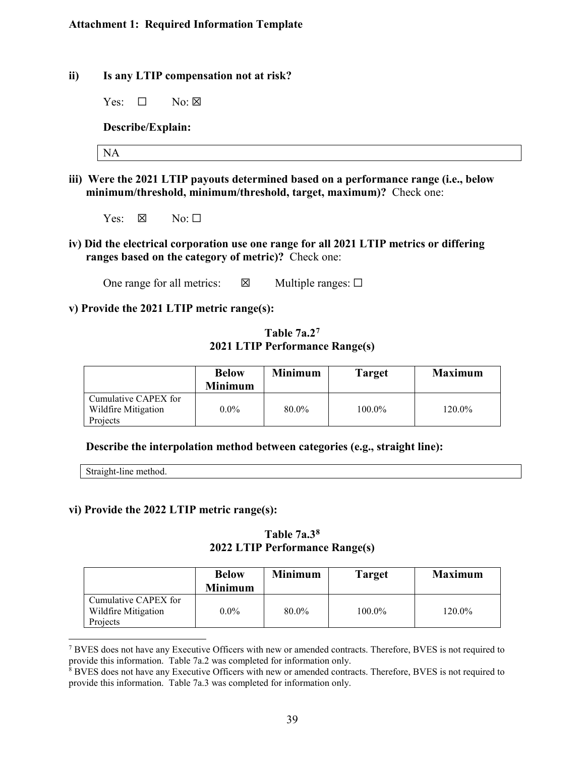- **ii) Is any LTIP compensation not at risk?**
	- Yes:  $\Box$  No:  $\boxtimes$

**Describe/Explain:** 

NA

- **iii) Were the 2021 LTIP payouts determined based on a performance range (i.e., below minimum/threshold, minimum/threshold, target, maximum)?** Check one:
	- Yes:  $\boxtimes$  No:  $\square$
- **iv) Did the electrical corporation use one range for all 2021 LTIP metrics or differing ranges based on the category of metric)?** Check one:

One range for all metrics:  $\boxtimes$  Multiple ranges:  $\Box$ 

#### **v) Provide the 2021 LTIP metric range(s):**

#### **Table 7a.2[7](#page-55-0) 2021 LTIP Performance Range(s)**

|                                                         | <b>Below</b><br><b>Minimum</b> | Minimum | Target    | <b>Maximum</b> |
|---------------------------------------------------------|--------------------------------|---------|-----------|----------------|
| Cumulative CAPEX for<br>Wildfire Mitigation<br>Projects | $0.0\%$                        | 80.0%   | $100.0\%$ | 120.0%         |

#### **Describe the interpolation method between categories (e.g., straight line):**

Straight-line method.

#### **vi) Provide the 2022 LTIP metric range(s):**

**Table 7a.3[8](#page-55-1) 2022 LTIP Performance Range(s)**

|                                                         | <b>Below</b><br><b>Minimum</b> | <b>Minimum</b> | <b>Target</b> | <b>Maximum</b> |
|---------------------------------------------------------|--------------------------------|----------------|---------------|----------------|
| Cumulative CAPEX for<br>Wildfire Mitigation<br>Projects | $0.0\%$                        | 80.0%          | $100.0\%$     | 120.0%         |

<span id="page-55-0"></span><sup>7</sup> BVES does not have any Executive Officers with new or amended contracts. Therefore, BVES is not required to provide this information. Table 7a.2 was completed for information only.

<span id="page-55-1"></span><sup>8</sup> BVES does not have any Executive Officers with new or amended contracts. Therefore, BVES is not required to provide this information. Table 7a.3 was completed for information only.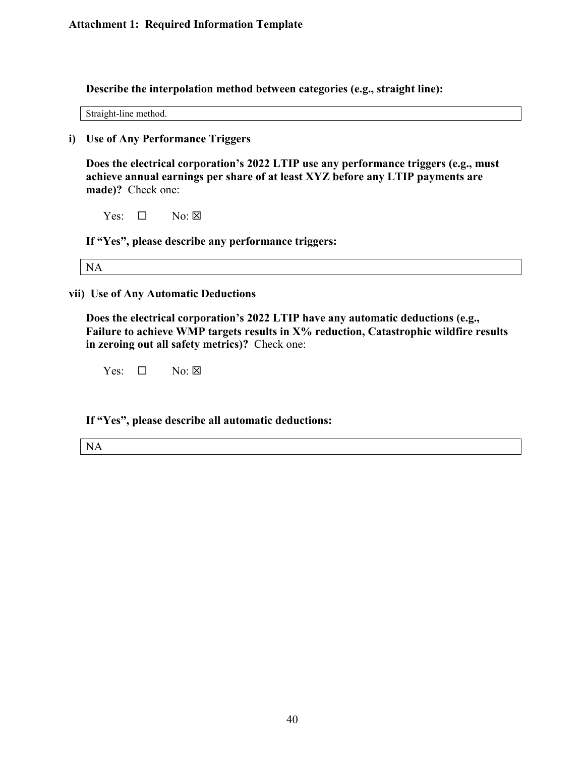**Describe the interpolation method between categories (e.g., straight line):**

Straight-line method.

**i) Use of Any Performance Triggers** 

**Does the electrical corporation's 2022 LTIP use any performance triggers (e.g., must achieve annual earnings per share of at least XYZ before any LTIP payments are made)?** Check one:

Yes:  $\Box$  No:  $\boxtimes$ 

**If "Yes", please describe any performance triggers:** 

NA

**vii) Use of Any Automatic Deductions**

**Does the electrical corporation's 2022 LTIP have any automatic deductions (e.g.,**  Failure to achieve WMP targets results in X% reduction, Catastrophic wildfire results **in zeroing out all safety metrics)?** Check one:

 $Yes: \Box \qquad No: \boxtimes$ 

**If "Yes", please describe all automatic deductions:** 

NA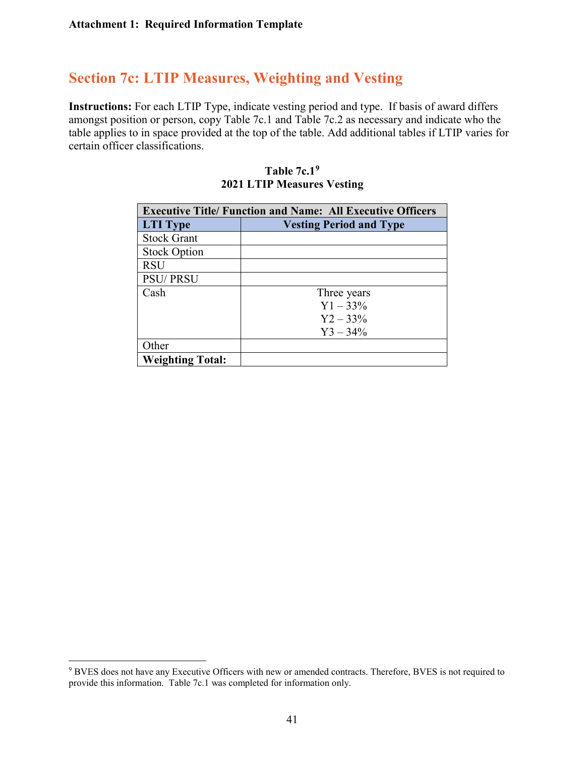### **Section 7c: LTIP Measures, Weighting and Vesting**

**Instructions:** For each LTIP Type, indicate vesting period and type. If basis of award differs amongst position or person, copy Table 7c.1 and Table 7c.2 as necessary and indicate who the table applies to in space provided at the top of the table. Add additional tables if LTIP varies for certain officer classifications.

| <b>Executive Title/ Function and Name: All Executive Officers</b> |                                |  |  |
|-------------------------------------------------------------------|--------------------------------|--|--|
| <b>LTI</b> Type                                                   | <b>Vesting Period and Type</b> |  |  |
| <b>Stock Grant</b>                                                |                                |  |  |
| <b>Stock Option</b>                                               |                                |  |  |
| <b>RSU</b>                                                        |                                |  |  |
| <b>PSU/PRSU</b>                                                   |                                |  |  |
| Cash                                                              | Three years                    |  |  |
|                                                                   | $Y1 - 33\%$                    |  |  |
|                                                                   | $Y2 - 33\%$                    |  |  |
|                                                                   | $Y3 - 34\%$                    |  |  |
| Other                                                             |                                |  |  |
| <b>Weighting Total:</b>                                           |                                |  |  |

#### **Table 7c.[19](#page-57-0) 2021 LTIP Measures Vesting**

<span id="page-57-0"></span><sup>9</sup> BVES does not have any Executive Officers with new or amended contracts. Therefore, BVES is not required to provide this information. Table 7c.1 was completed for information only.